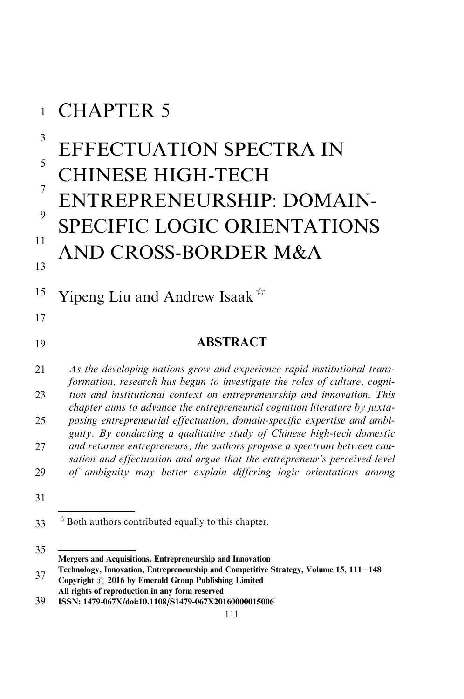## CHAPTER 5 EFFECTUATION SPECTRA IN CHINESE HIGH-TECH ENTREPRENEURSHIP: DOMAIN-SPECIFIC LOGIC ORIENTATIONS AND CROSS-BORDER M&A Yipeng Liu and Andrew Isaak  $\overline{x}$ **ABSTRACT** As the developing nations grow and experience rapid institutional transformation, research has begun to investigate the roles of culture, cognition and institutional context on entrepreneurship and innovation. This chapter aims to advance the entrepreneurial cognition literature by juxtaposing entrepreneurial effectuation, domain-specific expertise and ambiguity. By conducting a qualitative study of Chinese high-tech domestic and returnee entrepreneurs, the authors propose a spectrum between causation and effectuation and argue that the entrepreneur's perceived level of ambiguity may better explain differing logic orientations among  $\hat{B}$  Both authors contributed equally to this chapter. 1 3 5 7 9 11 13 15 17 19 21 23 25 27 29 31 33

Mergers and Acquisitions, Entrepreneurship and Innovation 35

Technology, Innovation, Entrepreneurship and Competitive Strategy, Volume  $15$ ,  $111-148$ Copyright  $\odot$  2016 by Emerald Group Publishing Limited All rights of reproduction in any form reserved 37

ISSN: 1479-067X/doi:10.1108/S1479-067X20160000015006 39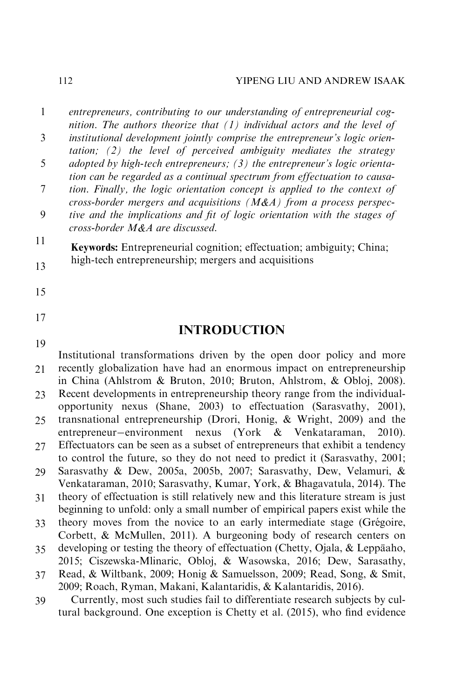| 1              | entrepreneurs, contributing to our understanding of entrepreneurial cog-<br>nition. The authors theorize that $(1)$ individual actors and the level of                                |
|----------------|---------------------------------------------------------------------------------------------------------------------------------------------------------------------------------------|
| $\mathfrak{Z}$ | institutional development jointly comprise the entrepreneur's logic orien-<br>tation; $(2)$ the level of perceived ambiguity mediates the strategy                                    |
| 5              | adopted by high-tech entrepreneurs; $(3)$ the entrepreneur's logic orienta-                                                                                                           |
| 7              | tion can be regarded as a continual spectrum from effectuation to causa-<br>tion. Finally, the logic orientation concept is applied to the context of                                 |
| 9              | cross-border mergers and acquisitions $(M&A)$ from a process perspec-<br>tive and the implications and fit of logic orientation with the stages of<br>cross-border M&A are discussed. |
| 11             | Keywords: Entrepreneurial cognition; effectuation; ambiguity; China;                                                                                                                  |
| 13             | high-tech entrepreneurship; mergers and acquisitions                                                                                                                                  |
| 15             |                                                                                                                                                                                       |
| 17             |                                                                                                                                                                                       |
| 19             | <b>INTRODUCTION</b>                                                                                                                                                                   |
|                | Institutional transformations driven by the open door policy and more                                                                                                                 |
| 21             | recently globalization have had an enormous impact on entrepreneurship<br>in China (Ahlstrom & Bruton, 2010; Bruton, Ahlstrom, & Obloj, 2008).                                        |
| 23             | Recent developments in entrepreneurship theory range from the individual-<br>opportunity nexus (Shane, 2003) to effectuation (Sarasvathy, 2001),                                      |
| 25             | transnational entrepreneurship (Drori, Honig, & Wright, 2009) and the<br>(York & Venkataraman,<br>entrepreneur-environment<br>nexus<br>$2010$ ).                                      |
| 27             | Effectuators can be seen as a subset of entrepreneurs that exhibit a tendency<br>to control the future, so they do not need to predict it (Sarasvathy, 2001;                          |
| 29             | Sarasvathy & Dew, 2005a, 2005b, 2007; Sarasvathy, Dew, Velamuri, &<br>Venkataraman, 2010; Sarasvathy, Kumar, York, & Bhagavatula, 2014). The                                          |
| 31             | theory of effectuation is still relatively new and this literature stream is just                                                                                                     |
| 33             | beginning to unfold: only a small number of empirical papers exist while the<br>theory moves from the novice to an early intermediate stage (Grégoire,                                |
|                | Corbett, & McMullen, 2011). A burgeoning body of research centers on                                                                                                                  |
| 35             | developing or testing the theory of effectuation (Chetty, Ojala, & Leppäaho,<br>2015; Ciszewska-Mlinaric, Obloj, & Wasowska, 2016; Dew, Sarasathy,                                    |
| 37             | Read, & Wiltbank, 2009; Honig & Samuelsson, 2009; Read, Song, & Smit,                                                                                                                 |
|                | 2009; Roach, Ryman, Makani, Kalantaridis, & Kalantaridis, 2016).                                                                                                                      |
| 39             | Currently, most such studies fail to differentiate research subjects by cul-                                                                                                          |

tural background. One exception is Chetty et al. (2015), who find evidence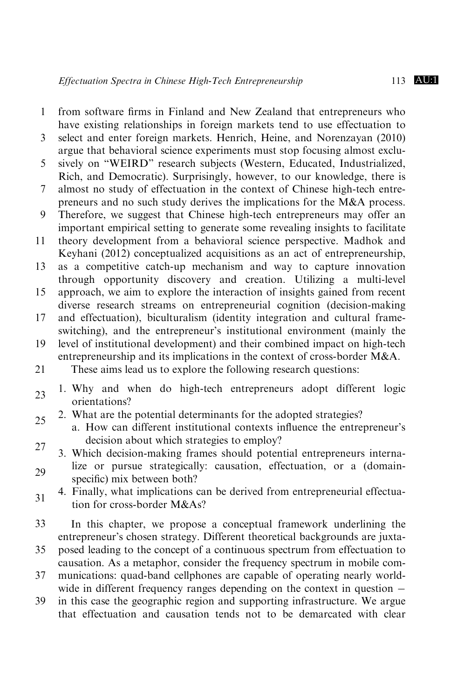- from software firms in Finland and New Zealand that entrepreneurs who have existing relationships in foreign markets tend to use effectuation to 1
- select and enter foreign markets. Henrich, Heine, and Norenzayan (2010) argue that behavioral science experiments must stop focusing almost exclu-3
- sively on "WEIRD" research subjects (Western, Educated, Industrialized, Rich, and Democratic). Surprisingly, however, to our knowledge, there is 5
- almost no study of effectuation in the context of Chinese high-tech entrepreneurs and no such study derives the implications for the M&A process. 7
- Therefore, we suggest that Chinese high-tech entrepreneurs may offer an important empirical setting to generate some revealing insights to facilitate 9
- theory development from a behavioral science perspective. Madhok and Keyhani (2012) conceptualized acquisitions as an act of entrepreneurship, 11
- as a competitive catch-up mechanism and way to capture innovation through opportunity discovery and creation. Utilizing a multi-level 13
- approach, we aim to explore the interaction of insights gained from recent diverse research streams on entrepreneurial cognition (decision-making 15
- and effectuation), biculturalism (identity integration and cultural frameswitching), and the entrepreneur's institutional environment (mainly the 17
- level of institutional development) and their combined impact on high-tech entrepreneurship and its implications in the context of cross-border M&A. 19
- These aims lead us to explore the following research questions: 21
- 1. Why and when do high-tech entrepreneurs adopt different logic orientations? 23
- 2. What are the potential determinants for the adopted strategies? 25
	- a. How can different institutional contexts influence the entrepreneur's decision about which strategies to employ?
- 3. Which decision-making frames should potential entrepreneurs internalize or pursue strategically: causation, effectuation, or a (domainspecific) mix between both? 27 29
- 4. Finally, what implications can be derived from entrepreneurial effectuation for cross-border M&As? 31
- In this chapter, we propose a conceptual framework underlining the entrepreneur's chosen strategy. Different theoretical backgrounds are juxta-33
- posed leading to the concept of a continuous spectrum from effectuation to causation. As a metaphor, consider the frequency spectrum in mobile com-35
- munications: quad-band cellphones are capable of operating nearly worldwide in different frequency ranges depending on the context in question  $-$ 37
- in this case the geographic region and supporting infrastructure. We argue that effectuation and causation tends not to be demarcated with clear 39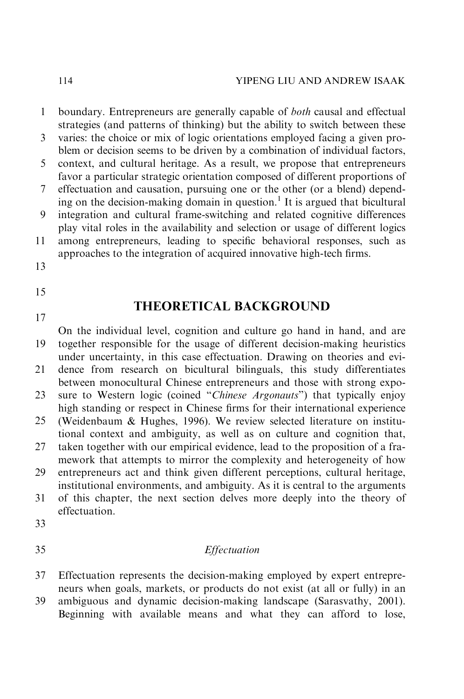- boundary. Entrepreneurs are generally capable of both causal and effectual strategies (and patterns of thinking) but the ability to switch between these 1
- varies: the choice or mix of logic orientations employed facing a given problem or decision seems to be driven by a combination of individual factors, 3
- context, and cultural heritage. As a result, we propose that entrepreneurs favor a particular strategic orientation composed of different proportions of 5
- effectuation and causation, pursuing one or the other (or a blend) depending on the decision-making domain in question.<sup>1</sup> It is argued that bicultural 7
- integration and cultural frame-switching and related cognitive differences play vital roles in the availability and selection or usage of different logics 9
- among entrepreneurs, leading to specific behavioral responses, such as approaches to the integration of acquired innovative high-tech firms. 11
- 13
- 15

- THEORETICAL BACKGROUND
- On the individual level, cognition and culture go hand in hand, and are together responsible for the usage of different decision-making heuristics under uncertainty, in this case effectuation. Drawing on theories and evidence from research on bicultural bilinguals, this study differentiates between monocultural Chinese entrepreneurs and those with strong exposure to Western logic (coined "Chinese Argonauts") that typically enjoy high standing or respect in Chinese firms for their international experience (Weidenbaum & Hughes, 1996). We review selected literature on institutional context and ambiguity, as well as on culture and cognition that, taken together with our empirical evidence, lead to the proposition of a framework that attempts to mirror the complexity and heterogeneity of how 19 21 23 25 27
- entrepreneurs act and think given different perceptions, cultural heritage, institutional environments, and ambiguity. As it is central to the arguments 29
- of this chapter, the next section delves more deeply into the theory of effectuation. 31
- 33 35
- Effectuation
- Effectuation represents the decision-making employed by expert entrepreneurs when goals, markets, or products do not exist (at all or fully) in an 37
- ambiguous and dynamic decision-making landscape (Sarasvathy, 2001). Beginning with available means and what they can afford to lose, 39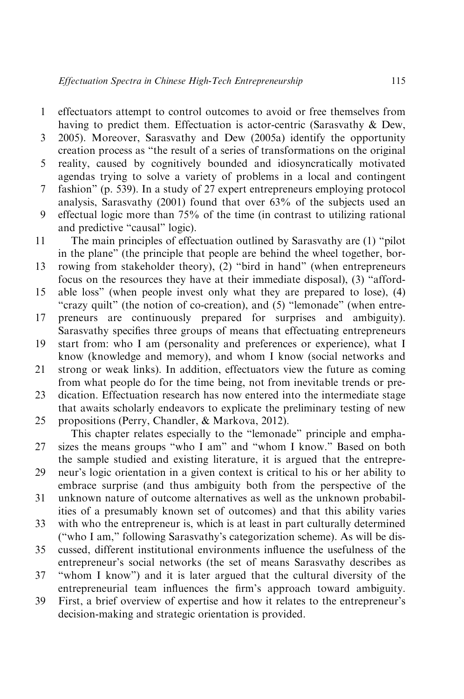- effectuators attempt to control outcomes to avoid or free themselves from having to predict them. Effectuation is actor-centric (Sarasvathy & Dew, 1
- 2005). Moreover, Sarasvathy and Dew (2005a) identify the opportunity creation process as "the result of a series of transformations on the original 3
- reality, caused by cognitively bounded and idiosyncratically motivated agendas trying to solve a variety of problems in a local and contingent 5
- fashion" (p. 539). In a study of 27 expert entrepreneurs employing protocol analysis, Sarasvathy (2001) found that over 63% of the subjects used an 7
- effectual logic more than 75% of the time (in contrast to utilizing rational and predictive "causal" logic). 9
- The main principles of effectuation outlined by Sarasvathy are (1) "pilot in the plane" (the principle that people are behind the wheel together, bor-11
- rowing from stakeholder theory), (2) "bird in hand" (when entrepreneurs focus on the resources they have at their immediate disposal), (3) "afford-13
- able loss" (when people invest only what they are prepared to lose), (4) "crazy quilt" (the notion of co-creation), and (5) "lemonade" (when entre-15
- preneurs are continuously prepared for surprises and ambiguity). Sarasvathy specifies three groups of means that effectuating entrepreneurs 17
- start from: who I am (personality and preferences or experience), what I know (knowledge and memory), and whom I know (social networks and 19
- strong or weak links). In addition, effectuators view the future as coming from what people do for the time being, not from inevitable trends or pre-21
- dication. Effectuation research has now entered into the intermediate stage that awaits scholarly endeavors to explicate the preliminary testing of new 23
- propositions (Perry, Chandler, & Markova, 2012). This chapter relates especially to the "lemonade" principle and empha-25
- sizes the means groups "who I am" and "whom I know." Based on both the sample studied and existing literature, it is argued that the entrepre-27
- neur's logic orientation in a given context is critical to his or her ability to embrace surprise (and thus ambiguity both from the perspective of the 29
- unknown nature of outcome alternatives as well as the unknown probabilities of a presumably known set of outcomes) and that this ability varies 31
- with who the entrepreneur is, which is at least in part culturally determined ("who I am," following Sarasvathy's categorization scheme). As will be dis-33
- cussed, different institutional environments influence the usefulness of the entrepreneur's social networks (the set of means Sarasvathy describes as 35
- "whom I know") and it is later argued that the cultural diversity of the entrepreneurial team influences the firm's approach toward ambiguity. 37
- First, a brief overview of expertise and how it relates to the entrepreneur's decision-making and strategic orientation is provided. 39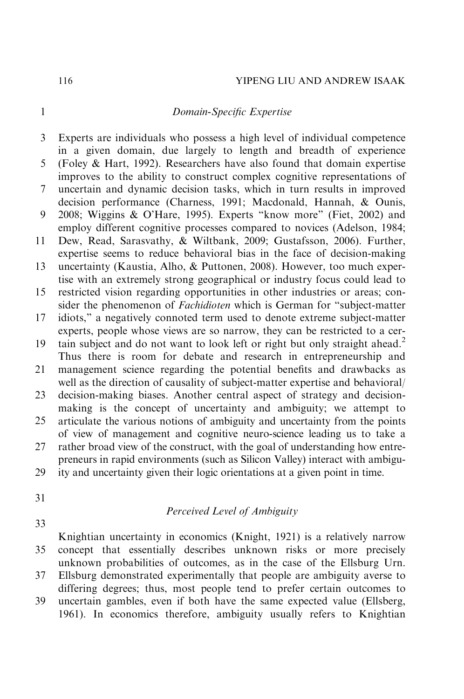## Domain-Specific Expertise

Experts are individuals who possess a high level of individual competence in a given domain, due largely to length and breadth of experience (Foley & Hart, 1992). Researchers have also found that domain expertise 3 5

improves to the ability to construct complex cognitive representations of uncertain and dynamic decision tasks, which in turn results in improved 7

- decision performance (Charness, 1991; Macdonald, Hannah, & Ounis, 2008; Wiggins & O'Hare, 1995). Experts "know more" (Fiet, 2002) and 9
- employ different cognitive processes compared to novices (Adelson, 1984; Dew, Read, Sarasvathy, & Wiltbank, 2009; Gustafsson, 2006). Further, 11
- expertise seems to reduce behavioral bias in the face of decision-making uncertainty (Kaustia, Alho, & Puttonen, 2008). However, too much exper-13
- tise with an extremely strong geographical or industry focus could lead to restricted vision regarding opportunities in other industries or areas; consider the phenomenon of *Fachidioten* which is German for "subject-matter" 15

idiots," a negatively connoted term used to denote extreme subject-matter experts, people whose views are so narrow, they can be restricted to a cer-17

- tain subject and do not want to look left or right but only straight ahead.<sup>2</sup> Thus there is room for debate and research in entrepreneurship and 19
- management science regarding the potential benefits and drawbacks as well as the direction of causality of subject-matter expertise and behavioral/ 21
- decision-making biases. Another central aspect of strategy and decisionmaking is the concept of uncertainty and ambiguity; we attempt to 23
- articulate the various notions of ambiguity and uncertainty from the points of view of management and cognitive neuro-science leading us to take a 25
- rather broad view of the construct, with the goal of understanding how entrepreneurs in rapid environments (such as Silicon Valley) interact with ambigu-27
- ity and uncertainty given their logic orientations at a given point in time. 29
- 31

## Perceived Level of Ambiguity

- 33
- Knightian uncertainty in economics (Knight, 1921) is a relatively narrow concept that essentially describes unknown risks or more precisely unknown probabilities of outcomes, as in the case of the Ellsburg Urn. 35

Ellsburg demonstrated experimentally that people are ambiguity averse to differing degrees; thus, most people tend to prefer certain outcomes to 37

uncertain gambles, even if both have the same expected value (Ellsberg, 1961). In economics therefore, ambiguity usually refers to Knightian 39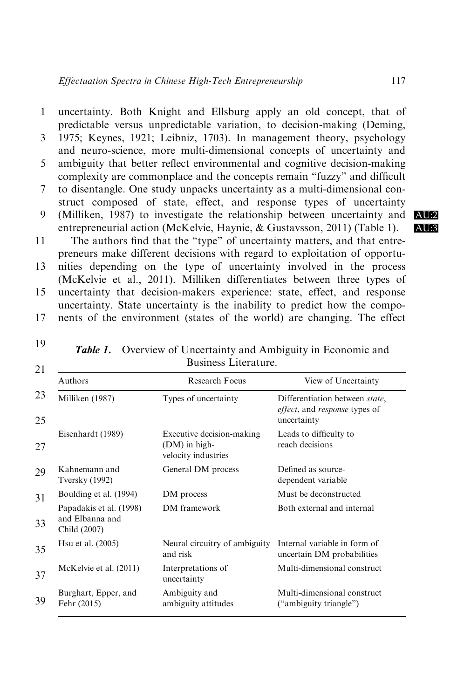- uncertainty. Both Knight and Ellsburg apply an old concept, that of predictable versus unpredictable variation, to decision-making (Deming, 1
- 1975; Keynes, 1921; Leibniz, 1703). In management theory, psychology and neuro-science, more multi-dimensional concepts of uncertainty and 3
- ambiguity that better reflect environmental and cognitive decision-making complexity are commonplace and the concepts remain "fuzzy" and difficult 5
- to disentangle. One study unpacks uncertainty as a multi-dimensional construct composed of state, effect, and response types of uncertainty 7
- (Milliken, 1987) to investigate the relationship between uncertainty and AU:2 entrepreneurial action (McKelvie, Haynie, & Gustavsson, 2011) (Table 1). **AU:3** 9
- The authors find that the "type" of uncertainty matters, and that entrepreneurs make different decisions with regard to exploitation of opportu-11
- nities depending on the type of uncertainty involved in the process (McKelvie et al., 2011). Milliken differentiates between three types of 13

uncertainty that decision-makers experience: state, effect, and response uncertainty. State uncertainty is the inability to predict how the compo-15

nents of the environment (states of the world) are changing. The effect 17

Table 1. Overview of Uncertainty and Ambiguity in Economic and Business Literature.

|                                                            | Dusiliess Literature.                                               |                                                                                               |
|------------------------------------------------------------|---------------------------------------------------------------------|-----------------------------------------------------------------------------------------------|
| Authors                                                    | Research Focus                                                      | View of Uncertainty                                                                           |
| Milliken (1987)                                            | Types of uncertainty                                                | Differentiation between state,<br><i>effect</i> , and <i>response</i> types of<br>uncertainty |
| Eisenhardt (1989)                                          | Executive decision-making<br>$(DM)$ in high-<br>velocity industries | Leads to difficulty to<br>reach decisions                                                     |
| Kahnemann and<br><b>Tversky</b> (1992)                     | General DM process                                                  | Defined as source-<br>dependent variable                                                      |
| Boulding et al. (1994)                                     | DM process                                                          | Must be deconstructed                                                                         |
| Papadakis et al. (1998)<br>and Elbanna and<br>Child (2007) | DM framework                                                        | Both external and internal                                                                    |
| Hsu et al. (2005)                                          | Neural circuitry of ambiguity<br>and risk                           | Internal variable in form of<br>uncertain DM probabilities                                    |
| McKelvie et al. (2011)                                     | Interpretations of<br>uncertainty                                   | Multi-dimensional construct                                                                   |
| Burghart, Epper, and<br>Fehr (2015)                        | Ambiguity and<br>ambiguity attitudes                                | Multi-dimensional construct<br>("ambiguity triangle")                                         |
|                                                            |                                                                     |                                                                                               |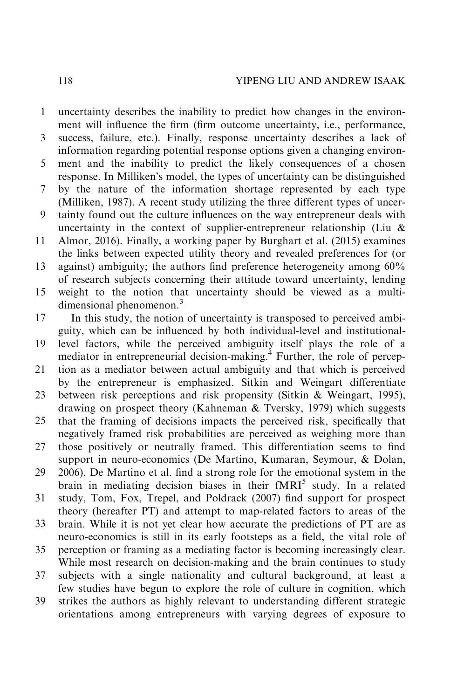- uncertainty describes the inability to predict how changes in the environment will influence the firm (firm outcome uncertainty, i.e., performance, 1
- success, failure, etc.). Finally, response uncertainty describes a lack of information regarding potential response options given a changing environ-3
- ment and the inability to predict the likely consequences of a chosen response. In Milliken's model, the types of uncertainty can be distinguished 5
- by the nature of the information shortage represented by each type (Milliken, 1987). A recent study utilizing the three different types of uncer-7
- tainty found out the culture influences on the way entrepreneur deals with uncertainty in the context of supplier-entrepreneur relationship (Liu  $\&$ 9
- Almor, 2016). Finally, a working paper by Burghart et al. (2015) examines the links between expected utility theory and revealed preferences for (or 11
- against) ambiguity; the authors find preference heterogeneity among 60% of research subjects concerning their attitude toward uncertainty, lending 13
- weight to the notion that uncertainty should be viewed as a multidimensional phenomenon.<sup>3</sup> 15
- In this study, the notion of uncertainty is transposed to perceived ambiguity, which can be influenced by both individual-level and institutional-17
- level factors, while the perceived ambiguity itself plays the role of a mediator in entrepreneurial decision-making.4 Further, the role of percep-19
- tion as a mediator between actual ambiguity and that which is perceived by the entrepreneur is emphasized. Sitkin and Weingart differentiate 21
- between risk perceptions and risk propensity (Sitkin & Weingart, 1995), drawing on prospect theory (Kahneman & Tversky, 1979) which suggests 23
- that the framing of decisions impacts the perceived risk, specifically that negatively framed risk probabilities are perceived as weighing more than 25
- those positively or neutrally framed. This differentiation seems to find support in neuro-economics (De Martino, Kumaran, Seymour, & Dolan, 27
- 2006), De Martino et al. find a strong role for the emotional system in the brain in mediating decision biases in their fMRI<sup>5</sup> study. In a related 29
- study, Tom, Fox, Trepel, and Poldrack (2007) find support for prospect theory (hereafter PT) and attempt to map-related factors to areas of the 31
- brain. While it is not yet clear how accurate the predictions of PT are as neuro-economics is still in its early footsteps as a field, the vital role of 33
- perception or framing as a mediating factor is becoming increasingly clear. While most research on decision-making and the brain continues to study 35
- subjects with a single nationality and cultural background, at least a few studies have begun to explore the role of culture in cognition, which 37
- strikes the authors as highly relevant to understanding different strategic orientations among entrepreneurs with varying degrees of exposure to 39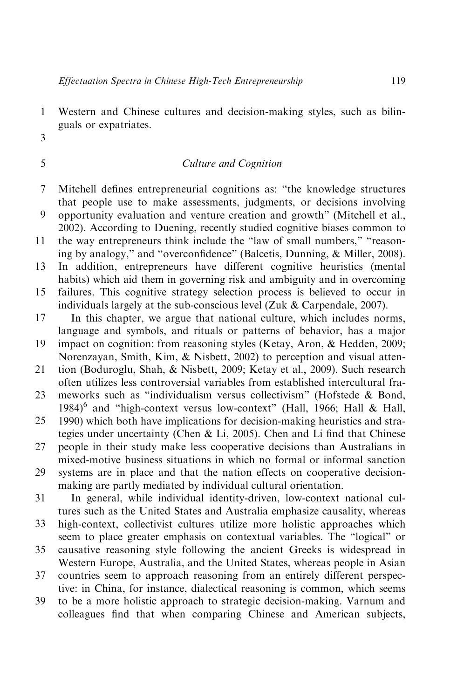- Western and Chinese cultures and decision-making styles, such as bilinguals or expatriates. 1
- 3
- 5

## Culture and Cognition

- Mitchell defines entrepreneurial cognitions as: "the knowledge structures that people use to make assessments, judgments, or decisions involving 7
- opportunity evaluation and venture creation and growth" (Mitchell et al., 2002). According to Duening, recently studied cognitive biases common to 9
- the way entrepreneurs think include the "law of small numbers," "reasoning by analogy," and "overconfidence" (Balcetis, Dunning, & Miller, 2008). 11
- In addition, entrepreneurs have different cognitive heuristics (mental habits) which aid them in governing risk and ambiguity and in overcoming 13
- failures. This cognitive strategy selection process is believed to occur in individuals largely at the sub-conscious level (Zuk & Carpendale, 2007). 15
- In this chapter, we argue that national culture, which includes norms, language and symbols, and rituals or patterns of behavior, has a major 17
- impact on cognition: from reasoning styles (Ketay, Aron, & Hedden, 2009; Norenzayan, Smith, Kim, & Nisbett, 2002) to perception and visual atten-19
- tion (Boduroglu, Shah, & Nisbett, 2009; Ketay et al., 2009). Such research often utilizes less controversial variables from established intercultural fra-21
- meworks such as "individualism versus collectivism" (Hofstede & Bond, 1984)<sup>6</sup> and "high-context versus low-context" (Hall, 1966; Hall & Hall, 23
- 1990) which both have implications for decision-making heuristics and strategies under uncertainty (Chen & Li, 2005). Chen and Li find that Chinese 25
- people in their study make less cooperative decisions than Australians in mixed-motive business situations in which no formal or informal sanction 27
- systems are in place and that the nation effects on cooperative decisionmaking are partly mediated by individual cultural orientation. 29
- In general, while individual identity-driven, low-context national cultures such as the United States and Australia emphasize causality, whereas 31
- high-context, collectivist cultures utilize more holistic approaches which seem to place greater emphasis on contextual variables. The "logical" or 33
- causative reasoning style following the ancient Greeks is widespread in Western Europe, Australia, and the United States, whereas people in Asian 35
- countries seem to approach reasoning from an entirely different perspective: in China, for instance, dialectical reasoning is common, which seems 37
- to be a more holistic approach to strategic decision-making. Varnum and colleagues find that when comparing Chinese and American subjects, 39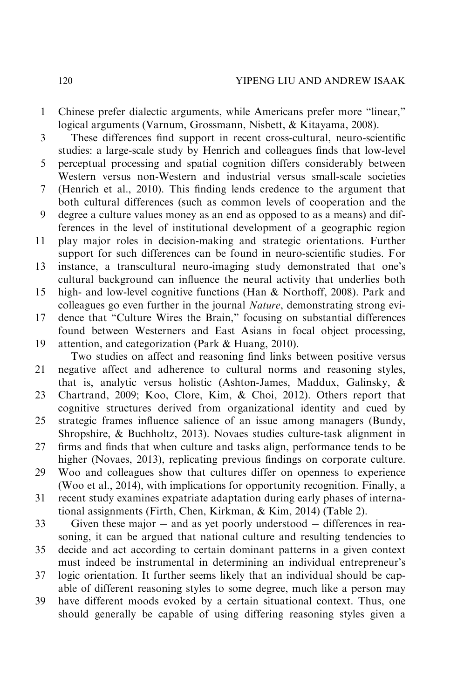- Chinese prefer dialectic arguments, while Americans prefer more "linear," logical arguments (Varnum, Grossmann, Nisbett, & Kitayama, 2008). 1
- These differences find support in recent cross-cultural, neuro-scientific studies: a large-scale study by Henrich and colleagues finds that low-level 3
- perceptual processing and spatial cognition differs considerably between Western versus non-Western and industrial versus small-scale societies 5
- (Henrich et al., 2010). This finding lends credence to the argument that both cultural differences (such as common levels of cooperation and the 7
- degree a culture values money as an end as opposed to as a means) and differences in the level of institutional development of a geographic region 9
- play major roles in decision-making and strategic orientations. Further support for such differences can be found in neuro-scientific studies. For 11
- instance, a transcultural neuro-imaging study demonstrated that one's cultural background can influence the neural activity that underlies both 13
- high- and low-level cognitive functions (Han & Northoff, 2008). Park and colleagues go even further in the journal Nature, demonstrating strong evi-15
- dence that "Culture Wires the Brain," focusing on substantial differences found between Westerners and East Asians in focal object processing, 17
- attention, and categorization (Park & Huang, 2010). Two studies on affect and reasoning find links between positive versus 19
- negative affect and adherence to cultural norms and reasoning styles, that is, analytic versus holistic (Ashton-James, Maddux, Galinsky, & 21
- Chartrand, 2009; Koo, Clore, Kim, & Choi, 2012). Others report that cognitive structures derived from organizational identity and cued by 23
- strategic frames influence salience of an issue among managers (Bundy, Shropshire, & Buchholtz, 2013). Novaes studies culture-task alignment in 25
- firms and finds that when culture and tasks align, performance tends to be higher (Novaes, 2013), replicating previous findings on corporate culture. 27
- Woo and colleagues show that cultures differ on openness to experience (Woo et al., 2014), with implications for opportunity recognition. Finally, a 29
- recent study examines expatriate adaptation during early phases of international assignments (Firth, Chen, Kirkman, & Kim, 2014) (Table 2). 31
- Given these major  $-$  and as yet poorly understood  $-$  differences in reasoning, it can be argued that national culture and resulting tendencies to 33
- decide and act according to certain dominant patterns in a given context must indeed be instrumental in determining an individual entrepreneur's 35
- logic orientation. It further seems likely that an individual should be capable of different reasoning styles to some degree, much like a person may 37
- have different moods evoked by a certain situational context. Thus, one should generally be capable of using differing reasoning styles given a 39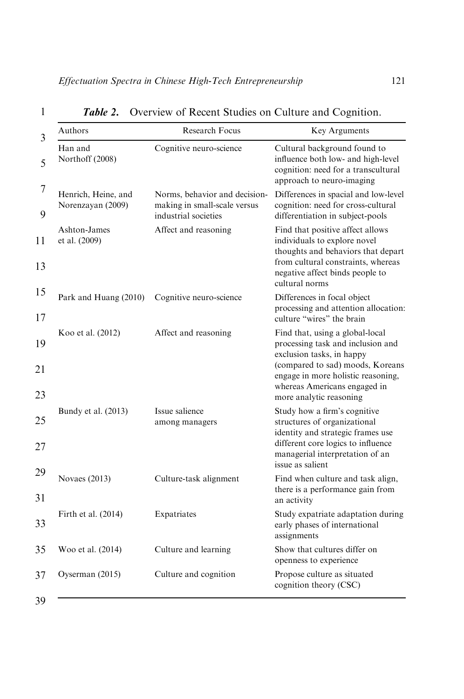| Authors                                  | <b>Research Focus</b>                                                                 | Key Arguments                                                                                                                                                                                                                          |
|------------------------------------------|---------------------------------------------------------------------------------------|----------------------------------------------------------------------------------------------------------------------------------------------------------------------------------------------------------------------------------------|
| Han and<br>Northoff (2008)               | Cognitive neuro-science                                                               | Cultural background found to<br>influence both low- and high-level<br>cognition: need for a transcultural<br>approach to neuro-imaging                                                                                                 |
| Henrich, Heine, and<br>Norenzayan (2009) | Norms, behavior and decision-<br>making in small-scale versus<br>industrial societies | Differences in spacial and low-level<br>cognition: need for cross-cultural<br>differentiation in subject-pools                                                                                                                         |
| Ashton-James<br>et al. (2009)            | Affect and reasoning                                                                  | Find that positive affect allows<br>individuals to explore novel<br>thoughts and behaviors that depart<br>from cultural constraints, whereas<br>negative affect binds people to<br>cultural norms                                      |
| Park and Huang (2010)                    | Cognitive neuro-science                                                               | Differences in focal object<br>processing and attention allocation:<br>culture "wires" the brain                                                                                                                                       |
| Koo et al. (2012)                        | Affect and reasoning                                                                  | Find that, using a global-local<br>processing task and inclusion and<br>exclusion tasks, in happy<br>(compared to sad) moods, Koreans<br>engage in more holistic reasoning,<br>whereas Americans engaged in<br>more analytic reasoning |
| Bundy et al. (2013)                      | Issue salience<br>among managers                                                      | Study how a firm's cognitive<br>structures of organizational<br>identity and strategic frames use<br>different core logics to influence<br>managerial interpretation of an<br>issue as salient                                         |
| Novaes (2013)                            | Culture-task alignment                                                                | Find when culture and task align,<br>there is a performance gain from<br>an activity                                                                                                                                                   |
| Firth et al. (2014)                      | Expatriates                                                                           | Study expatriate adaptation during<br>early phases of international<br>assignments                                                                                                                                                     |
| Woo et al. (2014)                        | Culture and learning                                                                  | Show that cultures differ on<br>openness to experience                                                                                                                                                                                 |
| Oyserman (2015)                          | Culture and cognition                                                                 | Propose culture as situated<br>cognition theory (CSC)                                                                                                                                                                                  |

Table 2. Overview of Recent Studies on Culture and Cognition.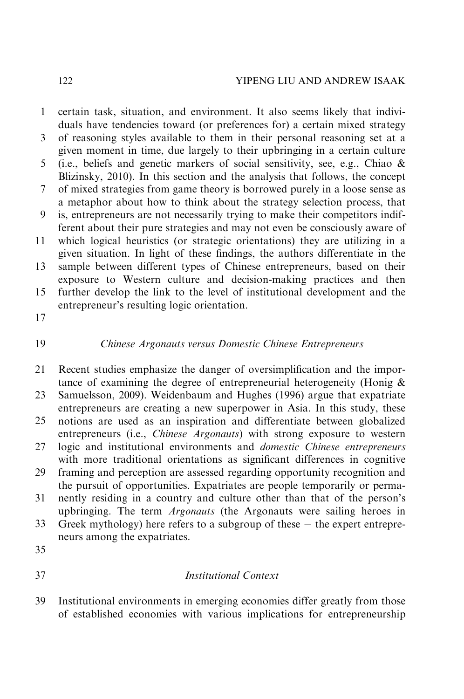certain task, situation, and environment. It also seems likely that individuals have tendencies toward (or preferences for) a certain mixed strategy 1

of reasoning styles available to them in their personal reasoning set at a given moment in time, due largely to their upbringing in a certain culture 3

- (i.e., beliefs and genetic markers of social sensitivity, see, e.g., Chiao & Blizinsky, 2010). In this section and the analysis that follows, the concept 5
- of mixed strategies from game theory is borrowed purely in a loose sense as a metaphor about how to think about the strategy selection process, that 7
- is, entrepreneurs are not necessarily trying to make their competitors indifferent about their pure strategies and may not even be consciously aware of 9
- which logical heuristics (or strategic orientations) they are utilizing in a given situation. In light of these findings, the authors differentiate in the 11
- sample between different types of Chinese entrepreneurs, based on their exposure to Western culture and decision-making practices and then 13
- further develop the link to the level of institutional development and the entrepreneur's resulting logic orientation. 15
- 17

#### Chinese Argonauts versus Domestic Chinese Entrepreneurs 19

- Recent studies emphasize the danger of oversimplification and the importance of examining the degree of entrepreneurial heterogeneity (Honig  $\&$ 21
- Samuelsson, 2009). Weidenbaum and Hughes (1996) argue that expatriate entrepreneurs are creating a new superpower in Asia. In this study, these 23
- notions are used as an inspiration and differentiate between globalized entrepreneurs (i.e., *Chinese Argonauts*) with strong exposure to western 25
- logic and institutional environments and domestic Chinese entrepreneurs with more traditional orientations as significant differences in cognitive 27
- framing and perception are assessed regarding opportunity recognition and the pursuit of opportunities. Expatriates are people temporarily or perma-29
- nently residing in a country and culture other than that of the person's upbringing. The term *Argonauts* (the Argonauts were sailing heroes in 31
- Greek mythology) here refers to a subgroup of these  $-$  the expert entrepreneurs among the expatriates. 33
- 35

### Institutional Context 37

Institutional environments in emerging economies differ greatly from those of established economies with various implications for entrepreneurship 39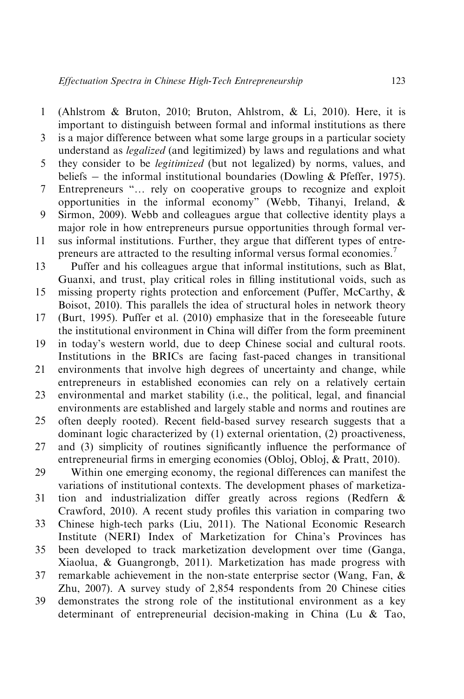- (Ahlstrom & Bruton, 2010; Bruton, Ahlstrom, & Li, 2010). Here, it is important to distinguish between formal and informal institutions as there 1
- is a major difference between what some large groups in a particular society understand as *legalized* (and legitimized) by laws and regulations and what 3
- they consider to be legitimized (but not legalized) by norms, values, and beliefs  $-$  the informal institutional boundaries (Dowling & Pfeffer, 1975). 5
- Entrepreneurs "… rely on cooperative groups to recognize and exploit opportunities in the informal economy" (Webb, Tihanyi, Ireland, & 7
- Sirmon, 2009). Webb and colleagues argue that collective identity plays a major role in how entrepreneurs pursue opportunities through formal ver-9
- sus informal institutions. Further, they argue that different types of entrepreneurs are attracted to the resulting informal versus formal economies.<sup>7</sup> 11
- Puffer and his colleagues argue that informal institutions, such as Blat, Guanxi, and trust, play critical roles in filling institutional voids, such as 13
- missing property rights protection and enforcement (Puffer, McCarthy, & Boisot, 2010). This parallels the idea of structural holes in network theory 15
- (Burt, 1995). Puffer et al. (2010) emphasize that in the foreseeable future the institutional environment in China will differ from the form preeminent 17
- in today's western world, due to deep Chinese social and cultural roots. Institutions in the BRICs are facing fast-paced changes in transitional 19
- environments that involve high degrees of uncertainty and change, while entrepreneurs in established economies can rely on a relatively certain 21
- environmental and market stability (i.e., the political, legal, and financial environments are established and largely stable and norms and routines are 23
- often deeply rooted). Recent field-based survey research suggests that a dominant logic characterized by (1) external orientation, (2) proactiveness, 25
- and (3) simplicity of routines significantly influence the performance of entrepreneurial firms in emerging economies (Obloj, Obloj, & Pratt, 2010). 27
- Within one emerging economy, the regional differences can manifest the variations of institutional contexts. The development phases of marketiza-29
- tion and industrialization differ greatly across regions (Redfern & Crawford, 2010). A recent study profiles this variation in comparing two 31
- Chinese high-tech parks (Liu, 2011). The National Economic Research Institute (NERI) Index of Marketization for China's Provinces has 33
- been developed to track marketization development over time (Ganga, Xiaolua, & Guangrongb, 2011). Marketization has made progress with 35
- remarkable achievement in the non-state enterprise sector (Wang, Fan, & Zhu, 2007). A survey study of 2,854 respondents from 20 Chinese cities 37
- demonstrates the strong role of the institutional environment as a key determinant of entrepreneurial decision-making in China (Lu & Tao, 39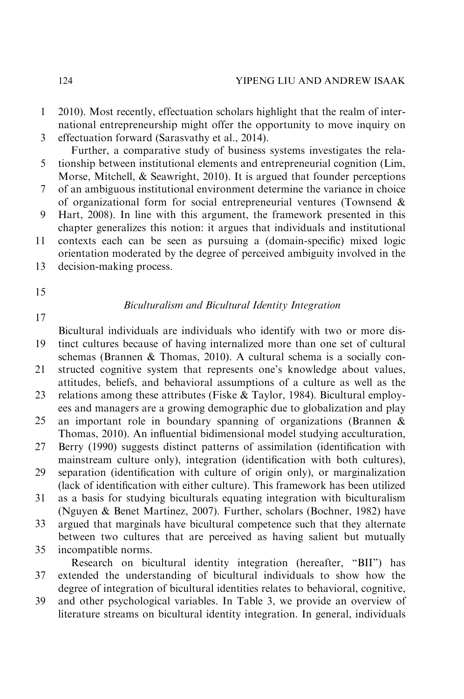- 2010). Most recently, effectuation scholars highlight that the realm of international entrepreneurship might offer the opportunity to move inquiry on 1
- effectuation forward (Sarasvathy et al., 2014). 3

Further, a comparative study of business systems investigates the relationship between institutional elements and entrepreneurial cognition (Lim,

- Morse, Mitchell, & Seawright, 2010). It is argued that founder perceptions of an ambiguous institutional environment determine the variance in choice 7
	- of organizational form for social entrepreneurial ventures (Townsend & Hart, 2008). In line with this argument, the framework presented in this
- chapter generalizes this notion: it argues that individuals and institutional 9
- contexts each can be seen as pursuing a (domain-specific) mixed logic orientation moderated by the degree of perceived ambiguity involved in the 11
- decision-making process. 13
- 15

5

## Biculturalism and Bicultural Identity Integration

17

Bicultural individuals are individuals who identify with two or more distinct cultures because of having internalized more than one set of cultural schemas (Brannen & Thomas, 2010). A cultural schema is a socially constructed cognitive system that represents one's knowledge about values, 19 21

- attitudes, beliefs, and behavioral assumptions of a culture as well as the relations among these attributes (Fiske & Taylor, 1984). Bicultural employees and managers are a growing demographic due to globalization and play 23
- an important role in boundary spanning of organizations (Brannen & Thomas, 2010). An influential bidimensional model studying acculturation, 25
- Berry (1990) suggests distinct patterns of assimilation (identification with mainstream culture only), integration (identification with both cultures), 27
- separation (identification with culture of origin only), or marginalization (lack of identification with either culture). This framework has been utilized 29
- as a basis for studying biculturals equating integration with biculturalism (Nguyen & Benet Martínez, 2007). Further, scholars (Bochner, 1982) have 31
- argued that marginals have bicultural competence such that they alternate between two cultures that are perceived as having salient but mutually 33
- incompatible norms. Research on bicultural identity integration (hereafter, "BII") has 35
- extended the understanding of bicultural individuals to show how the degree of integration of bicultural identities relates to behavioral, cognitive, 37
- and other psychological variables. In Table 3, we provide an overview of literature streams on bicultural identity integration. In general, individuals 39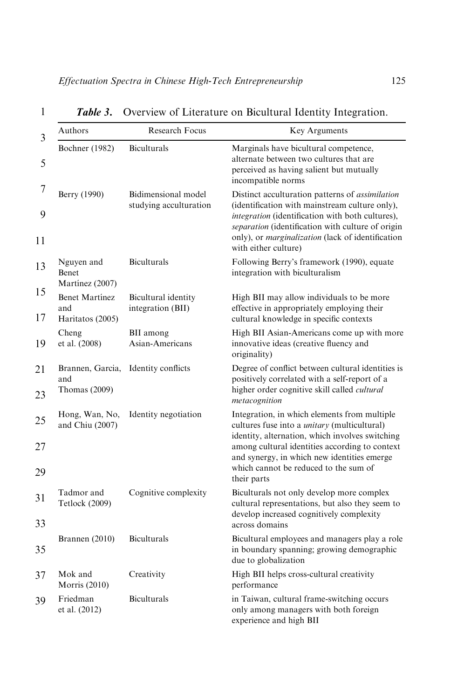| 3        | Authors                                          | <b>Research Focus</b>                         | Key Arguments                                                                                                                                                                                            |
|----------|--------------------------------------------------|-----------------------------------------------|----------------------------------------------------------------------------------------------------------------------------------------------------------------------------------------------------------|
| 5        | Bochner (1982)                                   | <b>Biculturals</b>                            | Marginals have bicultural competence,<br>alternate between two cultures that are<br>perceived as having salient but mutually<br>incompatible norms                                                       |
| 7<br>9   | Berry (1990)                                     | Bidimensional model<br>studying acculturation | Distinct acculturation patterns of assimilation<br>(identification with mainstream culture only),<br>integration (identification with both cultures),                                                    |
| 11       |                                                  |                                               | separation (identification with culture of origin<br>only), or marginalization (lack of identification<br>with either culture)                                                                           |
| 13       | Nguyen and<br>Benet<br>Martínez (2007)           | <b>Biculturals</b>                            | Following Berry's framework (1990), equate<br>integration with biculturalism                                                                                                                             |
| 15<br>17 | <b>Benet Martínez</b><br>and<br>Haritatos (2005) | Bicultural identity<br>integration (BII)      | High BII may allow individuals to be more<br>effective in appropriately employing their<br>cultural knowledge in specific contexts                                                                       |
| 19       | Cheng<br>et al. (2008)                           | <b>BII</b> among<br>Asian-Americans           | High BII Asian-Americans come up with more<br>innovative ideas (creative fluency and<br>originality)                                                                                                     |
| 21<br>23 | Brannen, Garcia,<br>and<br>Thomas (2009)         | Identity conflicts                            | Degree of conflict between cultural identities is<br>positively correlated with a self-report of a<br>higher order cognitive skill called cultural<br>metacognition                                      |
| 25<br>27 | Hong, Wan, No,<br>and Chiu (2007)                | Identity negotiation                          | Integration, in which elements from multiple<br>cultures fuse into a <i>unitary</i> (multicultural)<br>identity, alternation, which involves switching<br>among cultural identities according to context |
| 29       |                                                  |                                               | and synergy, in which new identities emerge<br>which cannot be reduced to the sum of<br>their parts                                                                                                      |
| 31       | Tadmor and<br><b>Tetlock (2009)</b>              | Cognitive complexity                          | Biculturals not only develop more complex<br>cultural representations, but also they seem to<br>develop increased cognitively complexity                                                                 |
| 33       |                                                  |                                               | across domains                                                                                                                                                                                           |
| 35       | Brannen $(2010)$                                 | <b>Biculturals</b>                            | Bicultural employees and managers play a role<br>in boundary spanning; growing demographic<br>due to globalization                                                                                       |
| 37       | Mok and<br>Morris (2010)                         | Creativity                                    | High BII helps cross-cultural creativity<br>performance                                                                                                                                                  |
| 39       | Friedman<br>et al. $(2012)$                      | <b>Biculturals</b>                            | in Taiwan, cultural frame-switching occurs<br>only among managers with both foreign<br>experience and high BII                                                                                           |

# Table 3. Overview of Literature on Bicultural Identity Integration.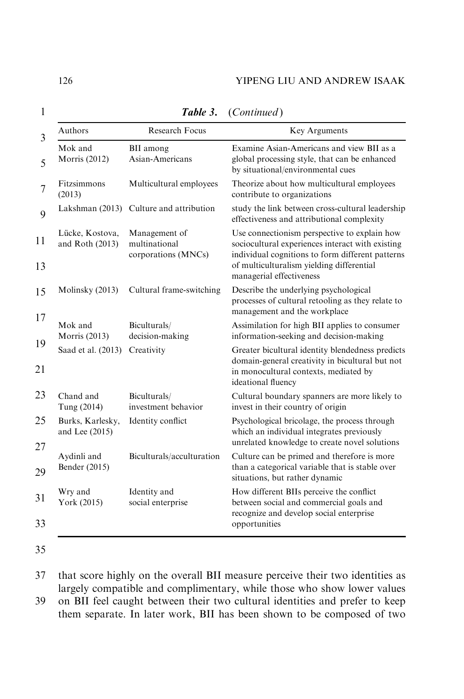| Authors                              | <b>Research Focus</b>                                 | Key Arguments                                                                                                                                                                                                                 |
|--------------------------------------|-------------------------------------------------------|-------------------------------------------------------------------------------------------------------------------------------------------------------------------------------------------------------------------------------|
| Mok and<br>Morris (2012)             | <b>BII</b> among<br>Asian-Americans                   | Examine Asian-Americans and view BII as a<br>global processing style, that can be enhanced<br>by situational/environmental cues                                                                                               |
| Fitzsimmons<br>(2013)                | Multicultural employees                               | Theorize about how multicultural employees<br>contribute to organizations                                                                                                                                                     |
|                                      | Lakshman (2013) Culture and attribution               | study the link between cross-cultural leadership<br>effectiveness and attributional complexity                                                                                                                                |
| Lücke, Kostova,<br>and Roth (2013)   | Management of<br>multinational<br>corporations (MNCs) | Use connectionism perspective to explain how<br>sociocultural experiences interact with existing<br>individual cognitions to form different patterns<br>of multiculturalism yielding differential<br>managerial effectiveness |
| Molinsky (2013)                      | Cultural frame-switching                              | Describe the underlying psychological<br>processes of cultural retooling as they relate to<br>management and the workplace                                                                                                    |
| Mok and<br>Morris (2013)             | Biculturals/<br>decision-making                       | Assimilation for high BII applies to consumer<br>information-seeking and decision-making                                                                                                                                      |
| Saad et al. (2013)                   | Creativity                                            | Greater bicultural identity blendedness predicts<br>domain-general creativity in bicultural but not<br>in monocultural contexts, mediated by<br>ideational fluency                                                            |
| Chand and<br>Tung (2014)             | Biculturals/<br>investment behavior                   | Cultural boundary spanners are more likely to<br>invest in their country of origin                                                                                                                                            |
| Burks, Karlesky,<br>and Lee $(2015)$ | Identity conflict                                     | Psychological bricolage, the process through<br>which an individual integrates previously<br>unrelated knowledge to create novel solutions                                                                                    |
| Aydinli and<br>Bender (2015)         | Biculturals/acculturation                             | Culture can be primed and therefore is more<br>than a categorical variable that is stable over<br>situations, but rather dynamic                                                                                              |
| Wry and<br>York (2015)               | Identity and<br>social enterprise                     | How different BIIs perceive the conflict<br>between social and commercial goals and<br>recognize and develop social enterprise<br>opportunities                                                                               |

| Table 3. | (Continued) |
|----------|-------------|
|----------|-------------|

- that score highly on the overall BII measure perceive their two identities as largely compatible and complimentary, while those who show lower values 37
- on BII feel caught between their two cultural identities and prefer to keep them separate. In later work, BII has been shown to be composed of two 39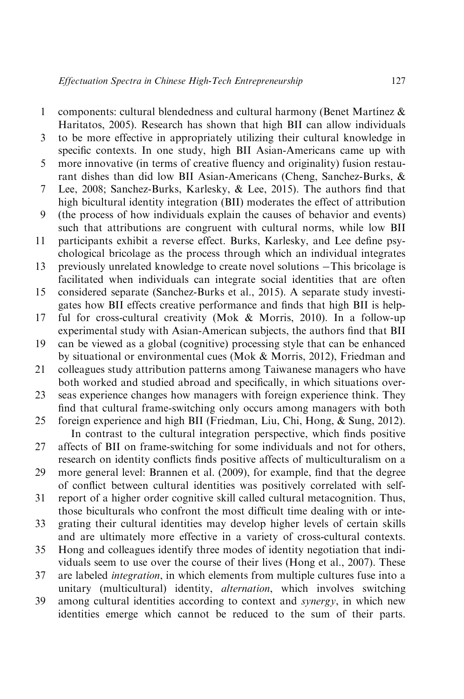- components: cultural blendedness and cultural harmony (Benet Martinez  $\&$ Haritatos, 2005). Research has shown that high BII can allow individuals 1
- to be more effective in appropriately utilizing their cultural knowledge in specific contexts. In one study, high BII Asian-Americans came up with more innovative (in terms of creative fluency and originality) fusion restau-3 5
- rant dishes than did low BII Asian-Americans (Cheng, Sanchez-Burks, &
- Lee, 2008; Sanchez-Burks, Karlesky, & Lee, 2015). The authors find that high bicultural identity integration (BII) moderates the effect of attribution 7
- (the process of how individuals explain the causes of behavior and events) such that attributions are congruent with cultural norms, while low BII 9
- participants exhibit a reverse effect. Burks, Karlesky, and Lee define psychological bricolage as the process through which an individual integrates 11
- previously unrelated knowledge to create novel solutions This bricolage is facilitated when individuals can integrate social identities that are often 13
- considered separate (Sanchez-Burks et al., 2015). A separate study investigates how BII effects creative performance and finds that high BII is help-15
- ful for cross-cultural creativity (Mok & Morris, 2010). In a follow-up experimental study with Asian-American subjects, the authors find that BII 17
- can be viewed as a global (cognitive) processing style that can be enhanced by situational or environmental cues (Mok & Morris, 2012), Friedman and 19
- colleagues study attribution patterns among Taiwanese managers who have both worked and studied abroad and specifically, in which situations over-21
- seas experience changes how managers with foreign experience think. They find that cultural frame-switching only occurs among managers with both 23
- foreign experience and high BII (Friedman, Liu, Chi, Hong, & Sung, 2012). In contrast to the cultural integration perspective, which finds positive 25
- affects of BII on frame-switching for some individuals and not for others, research on identity conflicts finds positive affects of multiculturalism on a 27
- more general level: Brannen et al. (2009), for example, find that the degree of conflict between cultural identities was positively correlated with self-29
- report of a higher order cognitive skill called cultural metacognition. Thus, those biculturals who confront the most difficult time dealing with or inte-31
- grating their cultural identities may develop higher levels of certain skills and are ultimately more effective in a variety of cross-cultural contexts. 33
- Hong and colleagues identify three modes of identity negotiation that individuals seem to use over the course of their lives (Hong et al., 2007). These 35
- are labeled integration, in which elements from multiple cultures fuse into a unitary (multicultural) identity, *alternation*, which involves switching 37
- among cultural identities according to context and synergy, in which new identities emerge which cannot be reduced to the sum of their parts. 39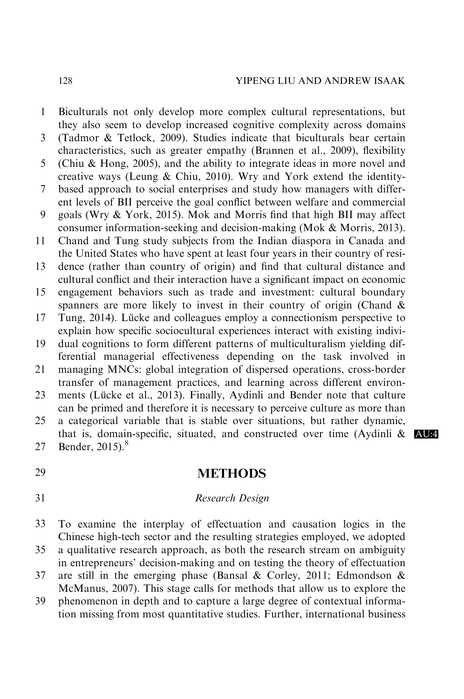- Biculturals not only develop more complex cultural representations, but they also seem to develop increased cognitive complexity across domains 1
- (Tadmor & Tetlock, 2009). Studies indicate that biculturals bear certain characteristics, such as greater empathy (Brannen et al., 2009), flexibility 3
- (Chiu & Hong, 2005), and the ability to integrate ideas in more novel and creative ways (Leung & Chiu, 2010). Wry and York extend the identity-5
- based approach to social enterprises and study how managers with different levels of BII perceive the goal conflict between welfare and commercial 7
- goals (Wry & York, 2015). Mok and Morris find that high BII may affect consumer information-seeking and decision-making (Mok & Morris, 2013). 9
- Chand and Tung study subjects from the Indian diaspora in Canada and the United States who have spent at least four years in their country of resi-11
- dence (rather than country of origin) and find that cultural distance and cultural conflict and their interaction have a significant impact on economic 13
- engagement behaviors such as trade and investment: cultural boundary spanners are more likely to invest in their country of origin (Chand & 15
- Tung, 2014). Lücke and colleagues employ a connectionism perspective to explain how specific sociocultural experiences interact with existing indivi-17
- dual cognitions to form different patterns of multiculturalism yielding differential managerial effectiveness depending on the task involved in 19
- managing MNCs: global integration of dispersed operations, cross-border transfer of management practices, and learning across different environ-21
- ments (Lücke et al., 2013). Finally, Aydinli and Bender note that culture can be primed and therefore it is necessary to perceive culture as more than 23
- a categorical variable that is stable over situations, but rather dynamic, that is, domain-specific, situated, and constructed over time (Aydinli  $\&$  **AU**:4 25
- Bender, 2015).<sup>8</sup> 27

## METHODS

31

29

Research Design

- are still in the emerging phase (Bansal & Corley, 2011; Edmondson  $\&$ McManus, 2007). This stage calls for methods that allow us to explore the 37
- phenomenon in depth and to capture a large degree of contextual information missing from most quantitative studies. Further, international business 39

To examine the interplay of effectuation and causation logics in the Chinese high-tech sector and the resulting strategies employed, we adopted 33

a qualitative research approach, as both the research stream on ambiguity in entrepreneurs' decision-making and on testing the theory of effectuation 35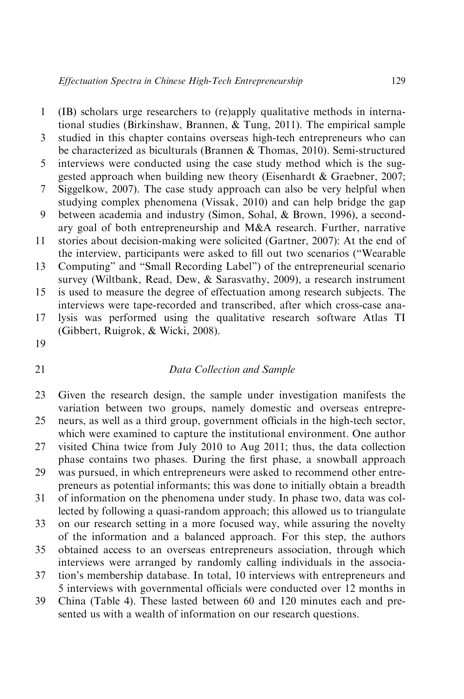- (IB) scholars urge researchers to (re)apply qualitative methods in international studies (Birkinshaw, Brannen, & Tung, 2011). The empirical sample 1
- studied in this chapter contains overseas high-tech entrepreneurs who can be characterized as biculturals (Brannen & Thomas, 2010). Semi-structured 3
- interviews were conducted using the case study method which is the suggested approach when building new theory (Eisenhardt & Graebner, 2007; 5
- Siggelkow, 2007). The case study approach can also be very helpful when studying complex phenomena (Vissak, 2010) and can help bridge the gap 7
- between academia and industry (Simon, Sohal, & Brown, 1996), a secondary goal of both entrepreneurship and M&A research. Further, narrative 9
- stories about decision-making were solicited (Gartner, 2007): At the end of the interview, participants were asked to fill out two scenarios ("Wearable 11
- Computing" and "Small Recording Label") of the entrepreneurial scenario survey (Wiltbank, Read, Dew, & Sarasvathy, 2009), a research instrument 13
- is used to measure the degree of effectuation among research subjects. The interviews were tape-recorded and transcribed, after which cross-case ana-15
- lysis was performed using the qualitative research software Atlas TI (Gibbert, Ruigrok, & Wicki, 2008). 17
- 19

## Data Collection and Sample

- Given the research design, the sample under investigation manifests the variation between two groups, namely domestic and overseas entrepre-23
- neurs, as well as a third group, government officials in the high-tech sector, which were examined to capture the institutional environment. One author 25
- visited China twice from July 2010 to Aug 2011; thus, the data collection phase contains two phases. During the first phase, a snowball approach 27
- was pursued, in which entrepreneurs were asked to recommend other entrepreneurs as potential informants; this was done to initially obtain a breadth 29
- of information on the phenomena under study. In phase two, data was collected by following a quasi-random approach; this allowed us to triangulate 31
- on our research setting in a more focused way, while assuring the novelty of the information and a balanced approach. For this step, the authors 33
- obtained access to an overseas entrepreneurs association, through which interviews were arranged by randomly calling individuals in the associa-35
- tion's membership database. In total, 10 interviews with entrepreneurs and 5 interviews with governmental officials were conducted over 12 months in 37
- China (Table 4). These lasted between 60 and 120 minutes each and presented us with a wealth of information on our research questions. 39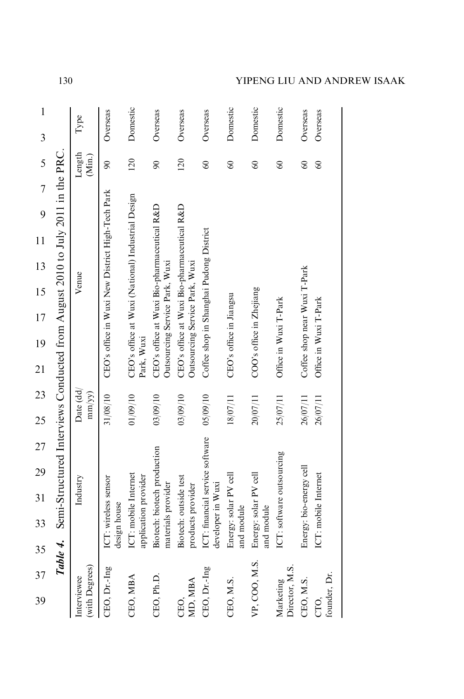| 39                            | 35<br>37                                                                                       | 33                                                   | 31       | <sup>29</sup> | <sup>27</sup> | <sup>25</sup>       | 23 | $\overline{21}$                                                 | 19                             | $\frac{17}{1}$ | 15    | 13 | 11 | 9 | $\overline{7}$ | 5                | $\overline{\mathbf{3}}$ | $\mathbf{1}$ |
|-------------------------------|------------------------------------------------------------------------------------------------|------------------------------------------------------|----------|---------------|---------------|---------------------|----|-----------------------------------------------------------------|--------------------------------|----------------|-------|----|----|---|----------------|------------------|-------------------------|--------------|
|                               | <b>Table 4.</b> Semi-Structured Interviews Conducted from August 2010 to July 2011 in the PRC. |                                                      |          |               |               |                     |    |                                                                 |                                |                |       |    |    |   |                |                  |                         |              |
| (with Degrees)<br>Interviewee |                                                                                                |                                                      | Industry |               |               | Date (dd/<br>mm/yy) |    |                                                                 |                                |                | Venue |    |    |   |                | Length<br>(Min.) | Type                    |              |
| CEO, Dr.-Ing                  |                                                                                                | ICT: wireless sensor<br>design house                 |          |               |               | 31/08/10            |    | CEO's office in Wuxi New District High-Tech Park                |                                |                |       |    |    |   |                | $\overline{6}$   | Overseas                |              |
| CEO, MBA                      |                                                                                                | ICT: mobile Internet<br>application provider         |          |               |               | 01/09/10            |    | CEO's office at Wuxi (National) Industrial Design<br>Park, Wuxi |                                |                |       |    |    |   |                | 120              | Domestic                |              |
| CEO, Ph.D.                    |                                                                                                | Biotech: biotech production<br>materials provider    |          |               |               | 03/09/10            |    | CEO's office at Wuxi Bio-pharmaceutical R&D                     | Outsourcing Service Park, Wuxi |                |       |    |    |   |                | $\overline{6}$   | Overseas                |              |
| MD, MBA<br>CEO,               |                                                                                                | Biotech: outside test<br>products provider           |          |               |               | 03/09/10            |    | CEO's office at Wuxi Bio-pharmaceutical R&D                     | Outsourcing Service Park, Wuxi |                |       |    |    |   |                | 120              | Overseas                |              |
| CEO, Dr.-Ing                  |                                                                                                | ICT: financial service software<br>developer in Wuxi |          |               |               | 05/09/10            |    | Coffee shop in Shanghai Pudong District                         |                                |                |       |    |    |   |                | $\degree$        | Overseas                |              |
| CEO, M.S.                     |                                                                                                | Energy: solar PV cell<br>and module                  |          |               |               | 18/07/11            |    | CEO's office in Jiangsu                                         |                                |                |       |    |    |   |                | $\degree$        | Domestic                |              |
| VP, COO, M.S.                 |                                                                                                | Energy: solar PV cell<br>and module                  |          |               |               | 20/07/11            |    | COO's office in Zhejiang                                        |                                |                |       |    |    |   |                | $\degree$        | Domestic                |              |
| Director, M.S.<br>Marketing   |                                                                                                | ICT: software outsourcing                            |          |               |               | 25/07/11            |    | Office in Wuxi T-Park                                           |                                |                |       |    |    |   |                | $\degree$        | Domestic                |              |
| CEO, M.S.                     |                                                                                                | Energy: bio-energy cell                              |          |               |               | 26/07/11            |    | Coffee shop near Wuxi T-Park                                    |                                |                |       |    |    |   |                | $\degree$        | Overseas                |              |
| founder, Dr.<br>СTО,          |                                                                                                | ICT: mobile Internet                                 |          |               |               | 26/07/11            |    | Office in Wuxi T-Park                                           |                                |                |       |    |    |   |                | $\degree$        | Overseas                |              |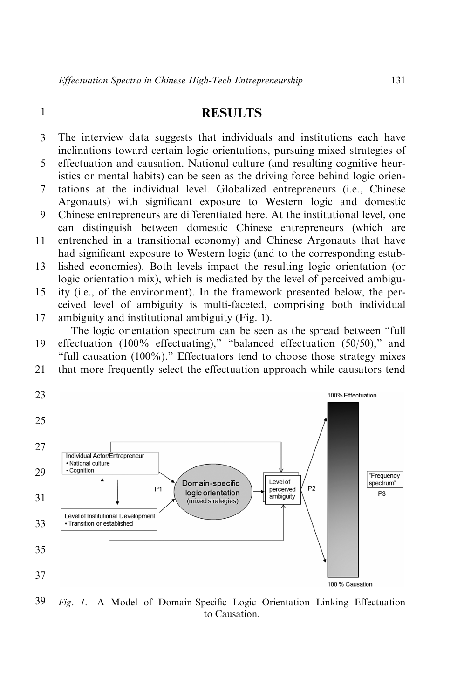## RESULTS

- The interview data suggests that individuals and institutions each have inclinations toward certain logic orientations, pursuing mixed strategies of 3
- effectuation and causation. National culture (and resulting cognitive heuristics or mental habits) can be seen as the driving force behind logic orien-5
- tations at the individual level. Globalized entrepreneurs (i.e., Chinese Argonauts) with significant exposure to Western logic and domestic 7
- Chinese entrepreneurs are differentiated here. At the institutional level, one can distinguish between domestic Chinese entrepreneurs (which are 9
- entrenched in a transitional economy) and Chinese Argonauts that have had significant exposure to Western logic (and to the corresponding estab-11
- lished economies). Both levels impact the resulting logic orientation (or logic orientation mix), which is mediated by the level of perceived ambigu-13
- ity (i.e., of the environment). In the framework presented below, the perceived level of ambiguity is multi-faceted, comprising both individual 15
- ambiguity and institutional ambiguity (Fig. 1). 17
- The logic orientation spectrum can be seen as the spread between "full effectuation (100% effectuating)," "balanced effectuation (50/50)," and "full causation (100%)." Effectuators tend to choose those strategy mixes 19
- that more frequently select the effectuation approach while causators tend 21



Fig. 1. A Model of Domain-Specific Logic Orientation Linking Effectuation to Causation. 39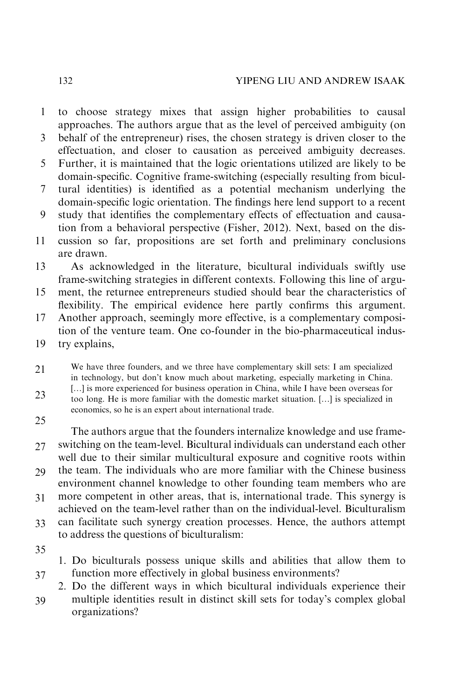- to choose strategy mixes that assign higher probabilities to causal approaches. The authors argue that as the level of perceived ambiguity (on 1
- behalf of the entrepreneur) rises, the chosen strategy is driven closer to the effectuation, and closer to causation as perceived ambiguity decreases. 3
- Further, it is maintained that the logic orientations utilized are likely to be domain-specific. Cognitive frame-switching (especially resulting from bicul-5
- tural identities) is identified as a potential mechanism underlying the domain-specific logic orientation. The findings here lend support to a recent 7
- study that identifies the complementary effects of effectuation and causation from a behavioral perspective (Fisher, 2012). Next, based on the dis-9
- cussion so far, propositions are set forth and preliminary conclusions are drawn. 11
- As acknowledged in the literature, bicultural individuals swiftly use frame-switching strategies in different contexts. Following this line of argu-13
- ment, the returnee entrepreneurs studied should bear the characteristics of flexibility. The empirical evidence here partly confirms this argument. 15
- Another approach, seemingly more effective, is a complementary composition of the venture team. One co-founder in the bio-pharmaceutical indus-17
- try explains, 19
- We have three founders, and we three have complementary skill sets: I am specialized in technology, but don't know much about marketing, especially marketing in China. 21
- [...] is more experienced for business operation in China, while I have been overseas for too long. He is more familiar with the domestic market situation. […] is specialized in economics, so he is an expert about international trade. 23
- 25

The authors argue that the founders internalize knowledge and use frameswitching on the team-level. Bicultural individuals can understand each other

- well due to their similar multicultural exposure and cognitive roots within the team. The individuals who are more familiar with the Chinese business 29
- environment channel knowledge to other founding team members who are more competent in other areas, that is, international trade. This synergy is achieved on the team-level rather than on the individual-level. Biculturalism 31
- can facilitate such synergy creation processes. Hence, the authors attempt to address the questions of biculturalism: 33
- 35

- 1. Do biculturals possess unique skills and abilities that allow them to function more effectively in global business environments?
- 2. Do the different ways in which bicultural individuals experience their
- multiple identities result in distinct skill sets for today's complex global organizations? 39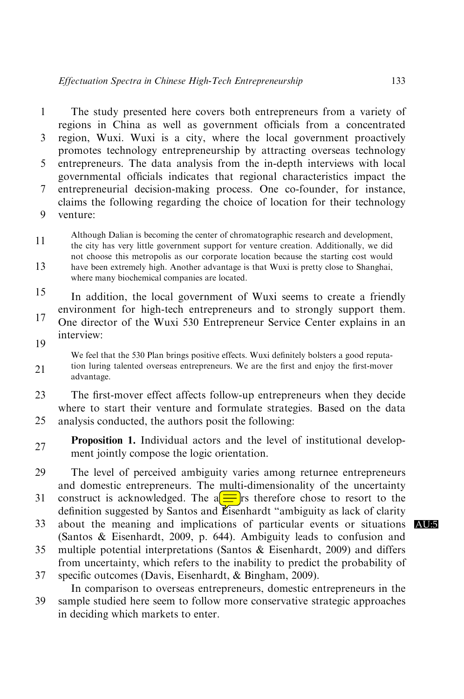- The study presented here covers both entrepreneurs from a variety of regions in China as well as government officials from a concentrated 1
- region, Wuxi. Wuxi is a city, where the local government proactively promotes technology entrepreneurship by attracting overseas technology 3
- entrepreneurs. The data analysis from the in-depth interviews with local governmental officials indicates that regional characteristics impact the 5
- entrepreneurial decision-making process. One co-founder, for instance, claims the following regarding the choice of location for their technology 7
- venture: 9
- Although Dalian is becoming the center of chromatographic research and development, the city has very little government support for venture creation. Additionally, we did not choose this metropolis as our corporate location because the starting cost would 11
- have been extremely high. Another advantage is that Wuxi is pretty close to Shanghai, where many biochemical companies are located. 13
- In addition, the local government of Wuxi seems to create a friendly environment for high-tech entrepreneurs and to strongly support them. One director of the Wuxi 530 Entrepreneur Service Center explains in an interview: 15 17 19
- We feel that the 530 Plan brings positive effects. Wuxi definitely bolsters a good reputation luring talented overseas entrepreneurs. We are the first and enjoy the first-mover advantage. 21
- The first-mover effect affects follow-up entrepreneurs when they decide where to start their venture and formulate strategies. Based on the data analysis conducted, the authors posit the following: 23 25
- Proposition 1. Individual actors and the level of institutional development jointly compose the logic orientation. 27
- The level of perceived ambiguity varies among returnee entrepreneurs and domestic entrepreneurs. The multi-dimensionality of the uncertainty 29
- construct is acknowledged. The a $\equiv$  rs therefore chose to resort to the definition suggested by Santos and Eisenhardt "ambiguity as lack of clarity 31
- about the meaning and implications of particular events or situations AU:5 (Santos & Eisenhardt, 2009, p. 644). Ambiguity leads to confusion and 33
- multiple potential interpretations (Santos & Eisenhardt, 2009) and differs from uncertainty, which refers to the inability to predict the probability of 35
- specific outcomes (Davis, Eisenhardt, & Bingham, 2009). In comparison to overseas entrepreneurs, domestic entrepreneurs in the 37
- sample studied here seem to follow more conservative strategic approaches in deciding which markets to enter. 39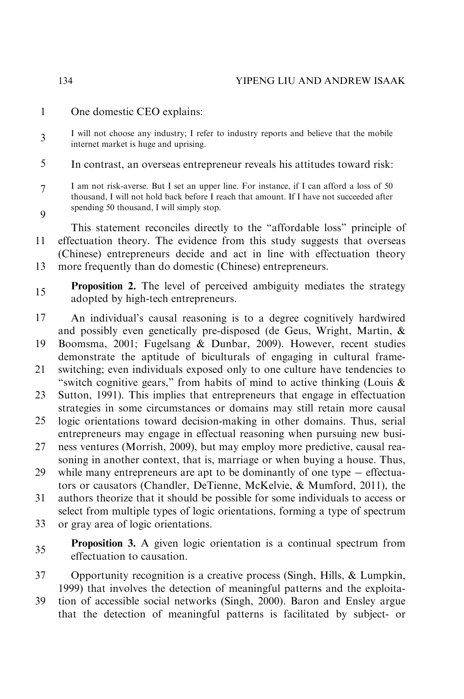#### One domestic CEO explains: 1

- I will not choose any industry; I refer to industry reports and believe that the mobile internet market is huge and uprising. 3
- In contrast, an overseas entrepreneur reveals his attitudes toward risk: 5
- I am not risk-averse. But I set an upper line. For instance, if I can afford a loss of 50 thousand, I will not hold back before I reach that amount. If I have not succeeded after spending 50 thousand, I will simply stop. 7
- 9

This statement reconciles directly to the "affordable loss" principle of effectuation theory. The evidence from this study suggests that overseas (Chinese) entrepreneurs decide and act in line with effectuation theory more frequently than do domestic (Chinese) entrepreneurs. 11 13

Proposition 2. The level of perceived ambiguity mediates the strategy adopted by high-tech entrepreneurs. 15

- An individual's causal reasoning is to a degree cognitively hardwired and possibly even genetically pre-disposed (de Geus, Wright, Martin, & 17
- Boomsma, 2001; Fugelsang & Dunbar, 2009). However, recent studies demonstrate the aptitude of biculturals of engaging in cultural frame-19
- switching; even individuals exposed only to one culture have tendencies to "switch cognitive gears," from habits of mind to active thinking (Louis & 21
- Sutton, 1991). This implies that entrepreneurs that engage in effectuation strategies in some circumstances or domains may still retain more causal 23
- logic orientations toward decision-making in other domains. Thus, serial entrepreneurs may engage in effectual reasoning when pursuing new busi-25
- ness ventures (Morrish, 2009), but may employ more predictive, causal reasoning in another context, that is, marriage or when buying a house. Thus, 27
- while many entrepreneurs are apt to be dominantly of one type  $-$  effectuators or causators (Chandler, DeTienne, McKelvie, & Mumford, 2011), the 29
- authors theorize that it should be possible for some individuals to access or select from multiple types of logic orientations, forming a type of spectrum 31
- or gray area of logic orientations. 33
- Proposition 3. A given logic orientation is a continual spectrum from effectuation to causation. 35
- Opportunity recognition is a creative process (Singh, Hills, & Lumpkin, 1999) that involves the detection of meaningful patterns and the exploita-37
- tion of accessible social networks (Singh, 2000). Baron and Ensley argue that the detection of meaningful patterns is facilitated by subject- or 39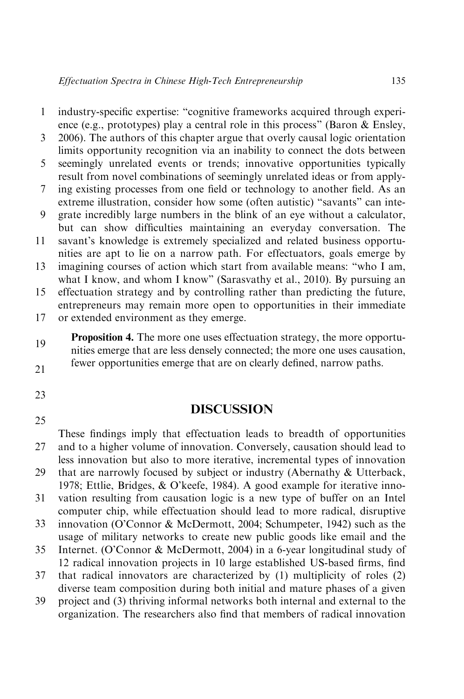- industry-specific expertise: "cognitive frameworks acquired through experience (e.g., prototypes) play a central role in this process" (Baron & Ensley, 1
- 2006). The authors of this chapter argue that overly causal logic orientation limits opportunity recognition via an inability to connect the dots between 3
- seemingly unrelated events or trends; innovative opportunities typically result from novel combinations of seemingly unrelated ideas or from apply-5
- ing existing processes from one field or technology to another field. As an extreme illustration, consider how some (often autistic) "savants" can inte-7
- grate incredibly large numbers in the blink of an eye without a calculator, but can show difficulties maintaining an everyday conversation. The 9
- savant's knowledge is extremely specialized and related business opportunities are apt to lie on a narrow path. For effectuators, goals emerge by 11
- imagining courses of action which start from available means: "who I am, what I know, and whom I know" (Sarasvathy et al., 2010). By pursuing an 13

effectuation strategy and by controlling rather than predicting the future, entrepreneurs may remain more open to opportunities in their immediate 15

- or extended environment as they emerge. 17
- Proposition 4. The more one uses effectuation strategy, the more opportunities emerge that are less densely connected; the more one uses causation, fewer opportunities emerge that are on clearly defined, narrow paths. 19
- 21
- 23
- 25

## **DISCUSSION**

These findings imply that effectuation leads to breadth of opportunities and to a higher volume of innovation. Conversely, causation should lead to less innovation but also to more iterative, incremental types of innovation that are narrowly focused by subject or industry (Abernathy & Utterback, 1978; Ettlie, Bridges, & O'keefe, 1984). A good example for iterative innovation resulting from causation logic is a new type of buffer on an Intel computer chip, while effectuation should lead to more radical, disruptive innovation (O'Connor & McDermott, 2004; Schumpeter, 1942) such as the usage of military networks to create new public goods like email and the Internet. (O'Connor & McDermott, 2004) in a 6-year longitudinal study of 27 29 31 33 35

12 radical innovation projects in 10 large established US-based firms, find that radical innovators are characterized by (1) multiplicity of roles (2) 37

diverse team composition during both initial and mature phases of a given project and (3) thriving informal networks both internal and external to the 39

organization. The researchers also find that members of radical innovation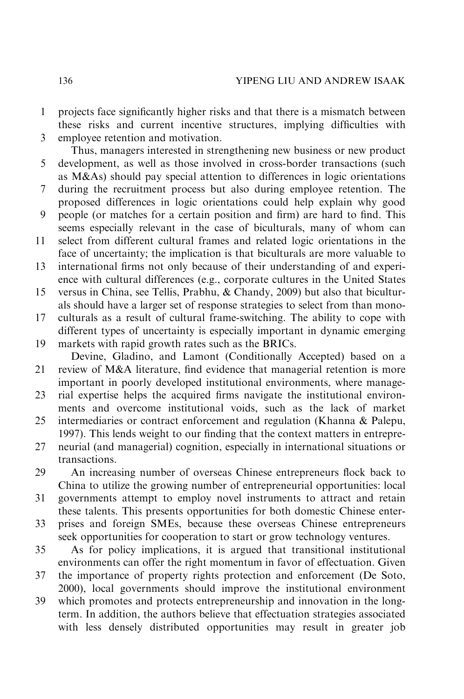projects face significantly higher risks and that there is a mismatch between these risks and current incentive structures, implying difficulties with employee retention and motivation. 1 3

Thus, managers interested in strengthening new business or new product development, as well as those involved in cross-border transactions (such as M&As) should pay special attention to differences in logic orientations 5

- during the recruitment process but also during employee retention. The proposed differences in logic orientations could help explain why good 7
- people (or matches for a certain position and firm) are hard to find. This seems especially relevant in the case of biculturals, many of whom can 9
- select from different cultural frames and related logic orientations in the face of uncertainty; the implication is that biculturals are more valuable to 11
- international firms not only because of their understanding of and experience with cultural differences (e.g., corporate cultures in the United States 13
- versus in China, see Tellis, Prabhu, & Chandy, 2009) but also that biculturals should have a larger set of response strategies to select from than mono-15
- culturals as a result of cultural frame-switching. The ability to cope with different types of uncertainty is especially important in dynamic emerging 17
- markets with rapid growth rates such as the BRICs. Devine, Gladino, and Lamont (Conditionally Accepted) based on a 19
- review of M&A literature, find evidence that managerial retention is more important in poorly developed institutional environments, where manage-21
- rial expertise helps the acquired firms navigate the institutional environments and overcome institutional voids, such as the lack of market 23
- intermediaries or contract enforcement and regulation (Khanna & Palepu, 1997). This lends weight to our finding that the context matters in entrepre-25
- neurial (and managerial) cognition, especially in international situations or transactions. 27
- An increasing number of overseas Chinese entrepreneurs flock back to China to utilize the growing number of entrepreneurial opportunities: local 29
- governments attempt to employ novel instruments to attract and retain these talents. This presents opportunities for both domestic Chinese enter-31
- prises and foreign SMEs, because these overseas Chinese entrepreneurs seek opportunities for cooperation to start or grow technology ventures. 33
- As for policy implications, it is argued that transitional institutional environments can offer the right momentum in favor of effectuation. Given 35
- the importance of property rights protection and enforcement (De Soto, 2000), local governments should improve the institutional environment 37
- which promotes and protects entrepreneurship and innovation in the longterm. In addition, the authors believe that effectuation strategies associated with less densely distributed opportunities may result in greater job 39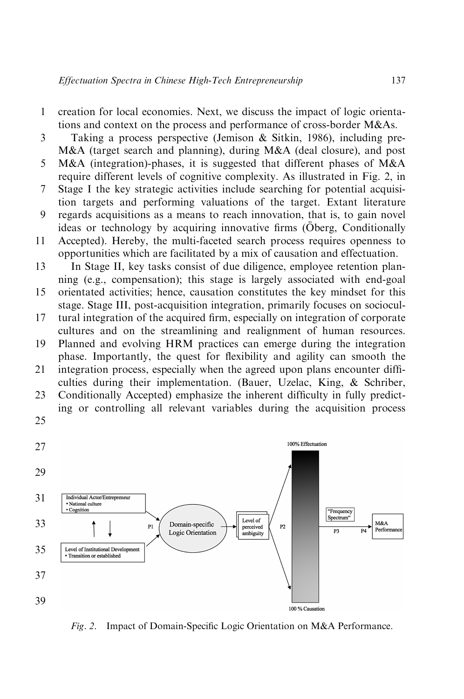- creation for local economies. Next, we discuss the impact of logic orientations and context on the process and performance of cross-border M&As. 1
- Taking a process perspective (Jemison & Sitkin, 1986), including pre-M&A (target search and planning), during M&A (deal closure), and post 3
- M&A (integration)-phases, it is suggested that different phases of M&A require different levels of cognitive complexity. As illustrated in Fig. 2, in 5
- Stage I the key strategic activities include searching for potential acquisition targets and performing valuations of the target. Extant literature 7
- regards acquisitions as a means to reach innovation, that is, to gain novel ideas or technology by acquiring innovative firms (Oberg, Conditionally 9
- Accepted). Hereby, the multi-faceted search process requires openness to opportunities which are facilitated by a mix of causation and effectuation. 11
- In Stage II, key tasks consist of due diligence, employee retention planning (e.g., compensation); this stage is largely associated with end-goal 13
- orientated activities; hence, causation constitutes the key mindset for this stage. Stage III, post-acquisition integration, primarily focuses on sociocul-15
- tural integration of the acquired firm, especially on integration of corporate cultures and on the streamlining and realignment of human resources. 17
- Planned and evolving HRM practices can emerge during the integration phase. Importantly, the quest for flexibility and agility can smooth the 19
- integration process, especially when the agreed upon plans encounter difficulties during their implementation. (Bauer, Uzelac, King, & Schriber, 21
- Conditionally Accepted) emphasize the inherent difficulty in fully predicting or controlling all relevant variables during the acquisition process 23 25



Fig. 2. Impact of Domain-Specific Logic Orientation on M&A Performance.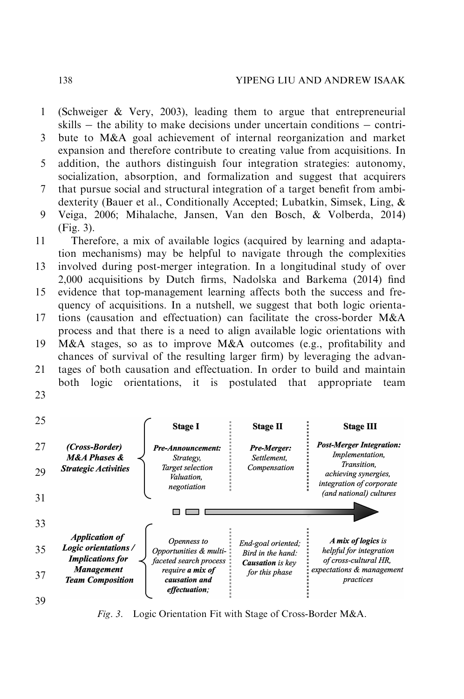- (Schweiger & Very, 2003), leading them to argue that entrepreneurial skills  $-$  the ability to make decisions under uncertain conditions  $-$  contri-1
- bute to M&A goal achievement of internal reorganization and market expansion and therefore contribute to creating value from acquisitions. In 3
- addition, the authors distinguish four integration strategies: autonomy, socialization, absorption, and formalization and suggest that acquirers 5
- that pursue social and structural integration of a target benefit from ambidexterity (Bauer et al., Conditionally Accepted; Lubatkin, Simsek, Ling, & 7
- Veiga, 2006; Mihalache, Jansen, Van den Bosch, & Volberda, 2014) (Fig. 3). 9
- Therefore, a mix of available logics (acquired by learning and adaptation mechanisms) may be helpful to navigate through the complexities 11
- involved during post-merger integration. In a longitudinal study of over 2,000 acquisitions by Dutch firms, Nadolska and Barkema (2014) find 13
- evidence that top-management learning affects both the success and frequency of acquisitions. In a nutshell, we suggest that both logic orienta-15
- tions (causation and effectuation) can facilitate the cross-border M&A process and that there is a need to align available logic orientations with 17
- M&A stages, so as to improve M&A outcomes (e.g., profitability and chances of survival of the resulting larger firm) by leveraging the advan-19
- tages of both causation and effectuation. In order to build and maintain both logic orientations, it is postulated that appropriate team 21
- 23

| 25 |                                                                          | <b>Stage I</b>                                                  | <b>Stage II</b>                                                    | <b>Stage III</b>                                                       |
|----|--------------------------------------------------------------------------|-----------------------------------------------------------------|--------------------------------------------------------------------|------------------------------------------------------------------------|
| 27 | (Cross-Border)<br>M&A Phases &                                           | Pre-Announcement:<br>Strategy,                                  | <b>Pre-Merger:</b><br>Settlement.                                  | <b>Post-Merger Integration:</b><br>Implementation,                     |
| 29 | <b>Strategic Activities</b>                                              | Target selection<br>Valuation,<br>negotiation                   | Compensation                                                       | Transition,<br>achieving synergies,<br>integration of corporate        |
| 31 |                                                                          |                                                                 |                                                                    | (and national) cultures                                                |
| 33 |                                                                          |                                                                 |                                                                    |                                                                        |
| 35 | <b>Application of</b><br>Logic orientations /<br><b>Implications</b> for | Openness to<br>Opportunities & multi-<br>faceted search process | End-goal oriented;<br>Bird in the hand:<br><b>Causation</b> is key | A mix of logics is<br>helpful for integration<br>of cross-cultural HR, |
| 37 | <b>Management</b><br><b>Team Composition</b>                             | require a mix of<br>causation and<br>effectuation:              | for this phase                                                     | expectations & management<br>practices                                 |
| 39 |                                                                          |                                                                 |                                                                    |                                                                        |

Fig. 3. Logic Orientation Fit with Stage of Cross-Border M&A.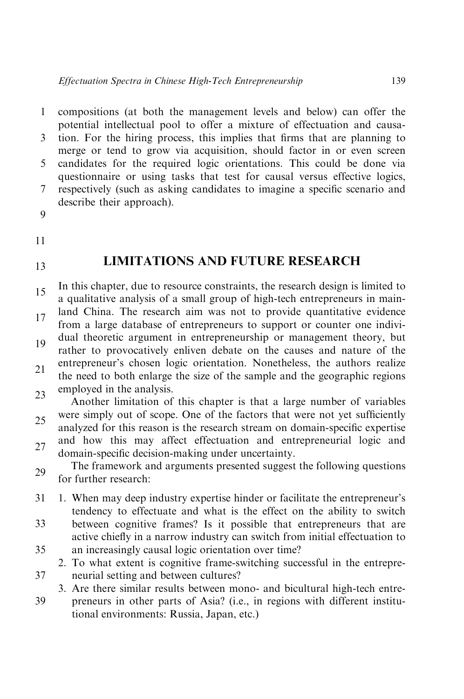- compositions (at both the management levels and below) can offer the potential intellectual pool to offer a mixture of effectuation and causa-1
- tion. For the hiring process, this implies that firms that are planning to merge or tend to grow via acquisition, should factor in or even screen 3
- candidates for the required logic orientations. This could be done via questionnaire or using tasks that test for causal versus effective logics, 5
- respectively (such as asking candidates to imagine a specific scenario and describe their approach). 7
- 9
- 11
- 13

# LIMITATIONS AND FUTURE RESEARCH

- In this chapter, due to resource constraints, the research design is limited to a qualitative analysis of a small group of high-tech entrepreneurs in main-15
- land China. The research aim was not to provide quantitative evidence from a large database of entrepreneurs to support or counter one individual theoretic argument in entrepreneurship or management theory, but 17
- rather to provocatively enliven debate on the causes and nature of the entrepreneur's chosen logic orientation. Nonetheless, the authors realize 19
- the need to both enlarge the size of the sample and the geographic regions employed in the analysis. 21 23
- Another limitation of this chapter is that a large number of variables were simply out of scope. One of the factors that were not yet sufficiently analyzed for this reason is the research stream on domain-specific expertise 25
- and how this may affect effectuation and entrepreneurial logic and domain-specific decision-making under uncertainty. 27
- The framework and arguments presented suggest the following questions for further research: 29
- 1. When may deep industry expertise hinder or facilitate the entrepreneur's tendency to effectuate and what is the effect on the ability to switch 31
- between cognitive frames? Is it possible that entrepreneurs that are active chiefly in a narrow industry can switch from initial effectuation to 33
- an increasingly causal logic orientation over time? 35
- 2. To what extent is cognitive frame-switching successful in the entrepreneurial setting and between cultures? 37
	- 3. Are there similar results between mono- and bicultural high-tech entre-
- preneurs in other parts of Asia? (i.e., in regions with different institutional environments: Russia, Japan, etc.) 39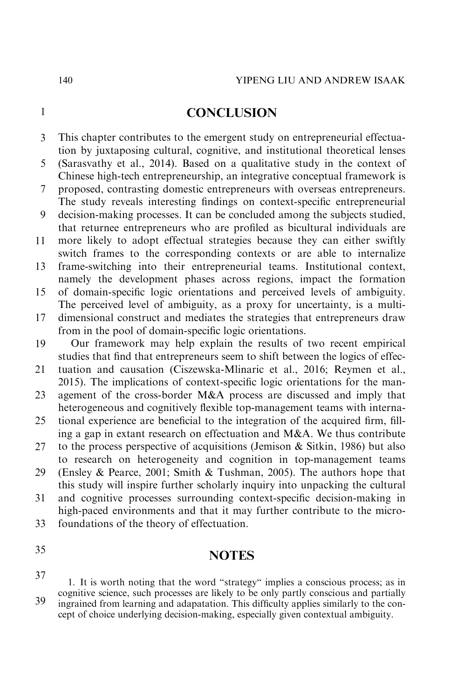## **CONCLUSION**

- This chapter contributes to the emergent study on entrepreneurial effectuation by juxtaposing cultural, cognitive, and institutional theoretical lenses 3
- (Sarasvathy et al., 2014). Based on a qualitative study in the context of Chinese high-tech entrepreneurship, an integrative conceptual framework is 5
- proposed, contrasting domestic entrepreneurs with overseas entrepreneurs. The study reveals interesting findings on context-specific entrepreneurial 7
- decision-making processes. It can be concluded among the subjects studied, that returnee entrepreneurs who are profiled as bicultural individuals are 9
- more likely to adopt effectual strategies because they can either swiftly switch frames to the corresponding contexts or are able to internalize 11
- frame-switching into their entrepreneurial teams. Institutional context, namely the development phases across regions, impact the formation 13
- of domain-specific logic orientations and perceived levels of ambiguity. The perceived level of ambiguity, as a proxy for uncertainty, is a multi-15
- dimensional construct and mediates the strategies that entrepreneurs draw from in the pool of domain-specific logic orientations. 17
- Our framework may help explain the results of two recent empirical studies that find that entrepreneurs seem to shift between the logics of effec-19
- tuation and causation (Ciszewska-Mlinaric et al., 2016; Reymen et al., 2015). The implications of context-specific logic orientations for the man-21
- agement of the cross-border M&A process are discussed and imply that heterogeneous and cognitively flexible top-management teams with interna-23
- tional experience are beneficial to the integration of the acquired firm, filling a gap in extant research on effectuation and M&A. We thus contribute 25
- to the process perspective of acquisitions (Jemison & Sitkin, 1986) but also to research on heterogeneity and cognition in top-management teams 27
- (Ensley & Pearce, 2001; Smith & Tushman, 2005). The authors hope that this study will inspire further scholarly inquiry into unpacking the cultural 29
- and cognitive processes surrounding context-specific decision-making in high-paced environments and that it may further contribute to the micro-31
- foundations of the theory of effectuation. 33
- 35

## **NOTES**

1. It is worth noting that the word "strategy" implies a conscious process; as in cognitive science, such processes are likely to be only partly conscious and partially ingrained from learning and adapatation. This difficulty applies similarly to the concept of choice underlying decision-making, especially given contextual ambiguity. 37 39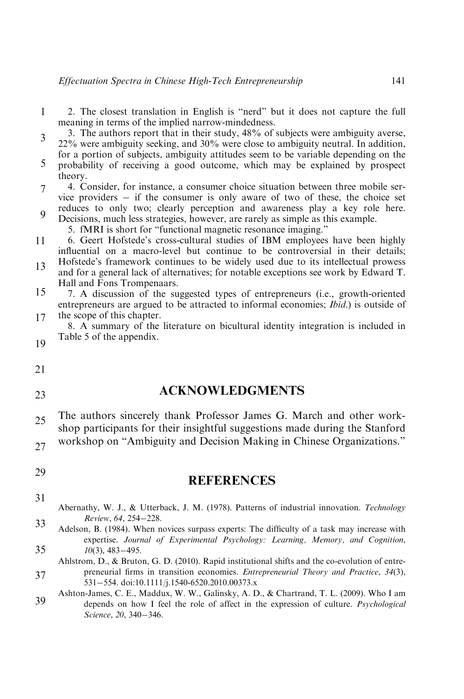- 2. The closest translation in English is "nerd" but it does not capture the full meaning in terms of the implied narrow-mindedness. 1
- 3. The authors report that in their study, 48% of subjects were ambiguity averse, 22% were ambiguity seeking, and 30% were close to ambiguity neutral. In addition, for a portion of subjects, ambiguity attitudes seem to be variable depending on the 3
- probability of receiving a good outcome, which may be explained by prospect theory. 5
- 4. Consider, for instance, a consumer choice situation between three mobile service providers  $-$  if the consumer is only aware of two of these, the choice set reduces to only two; clearly perception and awareness play a key role here. 7
- Decisions, much less strategies, however, are rarely as simple as this example. 5. fMRI is short for "functional magnetic resonance imaging." 9
	-
- 6. Geert Hofstede's cross-cultural studies of IBM employees have been highly influential on a macro-level but continue to be controversial in their details; Hofstede's framework continues to be widely used due to its intellectual prowess 11
- and for a general lack of alternatives; for notable exceptions see work by Edward T. Hall and Fons Trompenaars. 13
- 7. A discussion of the suggested types of entrepreneurs (i.e., growth-oriented entrepreneurs are argued to be attracted to informal economies; Ibid.) is outside of the scope of this chapter. 15 17
- 8. A summary of the literature on bicultural identity integration is included in Table 5 of the appendix. 19
- 21
- 23

## ACKNOWLEDGMENTS

- The authors sincerely thank Professor James G. March and other workshop participants for their insightful suggestions made during the Stanford 25
- workshop on "Ambiguity and Decision Making in Chinese Organizations." 27
- 29

31

## **REFERENCES**

- Abernathy, W. J., & Utterback, J. M. (1978). Patterns of industrial innovation. Technology Review, 64, 254-228. 33
- Adelson, B. (1984). When novices surpass experts: The difficulty of a task may increase with expertise. Journal of Experimental Psychology: Learning, Memory, and Cognition,  $10(3)$ , 483-495. 35

### Ahlstrom, D., & Bruton, G. D. (2010). Rapid institutional shifts and the co-evolution of entrepreneurial firms in transition economies. Entrepreneurial Theory and Practice, 34(3), 531-554. doi:10.1111/j.1540-6520.2010.00373.x 37

Ashton-James, C. E., Maddux, W. W., Galinsky, A. D., & Chartrand, T. L. (2009). Who I am depends on how I feel the role of affect in the expression of culture. Psychological Science, 20, 340-346. 39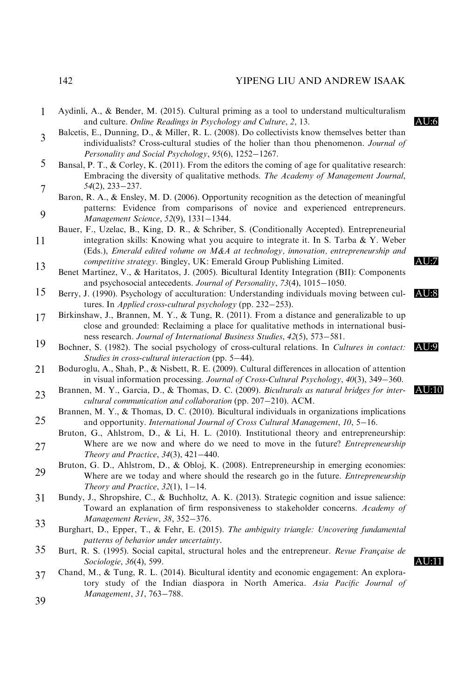| $\mathbf{1}$   | Aydinli, A., & Bender, M. (2015). Cultural priming as a tool to understand multiculturalism<br>and culture. Online Readings in Psychology and Culture, 2, 13.                                                                                                                    | AU:6  |
|----------------|----------------------------------------------------------------------------------------------------------------------------------------------------------------------------------------------------------------------------------------------------------------------------------|-------|
| $\overline{3}$ | Balcetis, E., Dunning, D., & Miller, R. L. (2008). Do collectivists know themselves better than<br>individualists? Cross-cultural studies of the holier than thou phenomenon. Journal of<br>Personality and Social Psychology, 95(6), 1252-1267.                                 |       |
| 5              | Bansal, P. T., & Corley, K. (2011). From the editors the coming of age for qualitative research:<br>Embracing the diversity of qualitative methods. The Academy of Management Journal,                                                                                           |       |
| 7              | $54(2)$ , $233 - 237$ .<br>Baron, R. A., & Ensley, M. D. (2006). Opportunity recognition as the detection of meaningful                                                                                                                                                          |       |
| 9              | patterns: Evidence from comparisons of novice and experienced entrepreneurs.<br>Management Science, 52(9), 1331-1344.                                                                                                                                                            |       |
| 11             | Bauer, F., Uzelac, B., King, D. R., & Schriber, S. (Conditionally Accepted). Entrepreneurial<br>integration skills: Knowing what you acquire to integrate it. In S. Tarba $\& Y$ . Weber<br>(Eds.), Emerald edited volume on M&A at technology, innovation, entrepreneurship and |       |
| 13             | competitive strategy. Bingley, UK: Emerald Group Publishing Limited.<br>Benet Martínez, V., & Haritatos, J. (2005). Bicultural Identity Integration (BII): Components<br>and psychosocial antecedents. Journal of Personality, 73(4), 1015-1050.                                 | AU:7  |
| 15             | Berry, J. (1990). Psychology of acculturation: Understanding individuals moving between cul-<br>tures. In Applied cross-cultural psychology (pp. 232-253).                                                                                                                       | AU:8  |
| 17             | Birkinshaw, J., Brannen, M. Y., & Tung, R. (2011). From a distance and generalizable to up<br>close and grounded: Reclaiming a place for qualitative methods in international busi-                                                                                              |       |
| 19             | ness research. Journal of International Business Studies, 42(5), 573-581.<br>Bochner, S. (1982). The social psychology of cross-cultural relations. In <i>Cultures in contact:</i><br>Studies in cross-cultural interaction (pp. 5–44).                                          | AU:9  |
| 21             | Boduroglu, A., Shah, P., & Nisbett, R. E. (2009). Cultural differences in allocation of attention<br>in visual information processing. Journal of Cross-Cultural Psychology, 40(3), 349–360.                                                                                     |       |
| 23             | Brannen, M. Y., Garcia, D., & Thomas, D. C. (2009). Biculturals as natural bridges for inter-<br>cultural communication and collaboration (pp. $207-210$ ). ACM.                                                                                                                 | AU:10 |
| 25             | Brannen, M. Y., & Thomas, D. C. (2010). Bicultural individuals in organizations implications<br>and opportunity. International Journal of Cross Cultural Management, 10, 5-16.<br>Bruton, G., Ahlstrom, D., & Li, H. L. (2010). Institutional theory and entrepreneurship:       |       |
| 27             | Where are we now and where do we need to move in the future? <i>Entrepreneurship</i><br>Theory and Practice, $34(3)$ , $421-440$ .                                                                                                                                               |       |
| 29             | Bruton, G. D., Ahlstrom, D., & Obloj, K. (2008). Entrepreneurship in emerging economies:<br>Where are we today and where should the research go in the future. <i>Entrepreneurship</i><br>Theory and Practice, $32(1)$ , $1-14$ .                                                |       |
| 31             | Bundy, J., Shropshire, C., & Buchholtz, A. K. (2013). Strategic cognition and issue salience:<br>Toward an explanation of firm responsiveness to stakeholder concerns. Academy of                                                                                                |       |
| 33             | Management Review, 38, 352-376.<br>Burghart, D., Epper, T., & Fehr, E. (2015). The ambiguity triangle: Uncovering fundamental<br>patterns of behavior under uncertainty.                                                                                                         |       |
| 35             | Burt, R. S. (1995). Social capital, structural holes and the entrepreneur. Revue Française de<br>Sociologie, 36(4), 599.                                                                                                                                                         | AU:11 |
| 37             | Chand, M., & Tung, R. L. (2014). Bicultural identity and economic engagement: An explora-<br>tory study of the Indian diaspora in North America. Asia Pacific Journal of                                                                                                         |       |
| 39             | Management, 31, 763-788.                                                                                                                                                                                                                                                         |       |
|                |                                                                                                                                                                                                                                                                                  |       |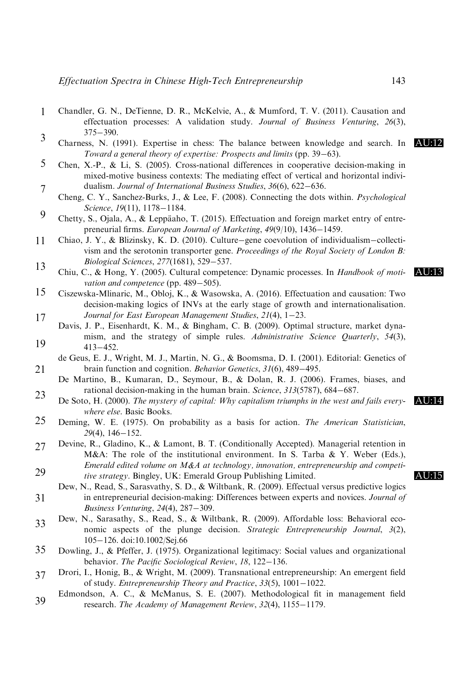- Chandler, G. N., DeTienne, D. R., McKelvie, A., & Mumford, T. V. (2011). Causation and effectuation processes: A validation study. Journal of Business Venturing, 26(3),  $375 - 390.$ 1 3
- Charness, N. (1991). Expertise in chess: The balance between knowledge and search. In AU:12 Toward a general theory of expertise: Prospects and limits (pp. 39–63).
- Chen, X.-P., & Li, S. (2005). Cross-national differences in cooperative decision-making in mixed-motive business contexts: The mediating effect of vertical and horizontal individualism. Journal of International Business Studies, 36(6), 622–636. 5 7
- Cheng, C. Y., Sanchez-Burks, J., & Lee, F. (2008). Connecting the dots within. Psychological Science, 19(11), 1178-1184.
- Chetty, S., Ojala, A., & Leppäaho, T. (2015). Effectuation and foreign market entry of entrepreneurial firms. European Journal of Marketing, 49(9/10), 1436-1459. 9
- Chiao, J. Y., & Blizinsky, K. D. (2010). Culture–gene coevolution of individualism–collectivism and the serotonin transporter gene. Proceedings of the Royal Society of London B: Biological Sciences, 277(1681), 529-537. 11 13
- Chiu, C., & Hong, Y. (2005). Cultural competence: Dynamic processes. In *Handbook of moti* **AU:13** vation and competence (pp. 489-505).
- Ciszewska-Mlinaric, M., Obloj, K., & Wasowska, A. (2016). Effectuation and causation: Two decision-making logics of INVs at the early stage of growth and internationalisation. Journal for East European Management Studies, 21(4), 1-23. 15 17
- Davis, J. P., Eisenhardt, K. M., & Bingham, C. B. (2009). Optimal structure, market dynamism, and the strategy of simple rules. Administrative Science Quarterly, 54(3), 413-452. 19
- de Geus, E. J., Wright, M. J., Martin, N. G., & Boomsma, D. I. (2001). Editorial: Genetics of brain function and cognition. *Behavior Genetics*, 31(6), 489–495. 21
- De Martino, B., Kumaran, D., Seymour, B., & Dolan, R. J. (2006). Frames, biases, and rational decision-making in the human brain. Science,  $313(5787)$ ,  $684-687$ . 23
- De Soto, H. (2000). The mystery of capital: Why capitalism triumphs in the west and fails every-<br> $\Delta U.14$ where else. Basic Books.
- Deming, W. E. (1975). On probability as a basis for action. The American Statistician,  $29(4)$ ,  $146-152$ . 25
- Devine, R., Gladino, K., & Lamont, B. T. (Conditionally Accepted). Managerial retention in M&A: The role of the institutional environment. In S. Tarba & Y. Weber (Eds.), Emerald edited volume on  $M\&A$  at technology, innovation, entrepreneurship and competi-27 29

tive strategy. Bingley, UK: Emerald Group Publishing Limited. AU:15

- Dew, N., Read, S., Sarasvathy, S. D., & Wiltbank, R. (2009). Effectual versus predictive logics in entrepreneurial decision-making: Differences between experts and novices. Journal of Business Venturing,  $24(4)$ ,  $287-309$ . 31
- Dew, N., Sarasathy, S., Read, S., & Wiltbank, R. (2009). Affordable loss: Behavioral economic aspects of the plunge decision. Strategic Entrepreneurship Journal, 3(2), 105-126. doi:10.1002/Sej.66 33
- Dowling, J., & Pfeffer, J. (1975). Organizational legitimacy: Social values and organizational behavior. The Pacific Sociological Review, 18, 122-136. 35
- Drori, I., Honig, B., & Wright, M. (2009). Transnational entrepreneurship: An emergent field of study. Entrepreneurship Theory and Practice, 33(5), 1001-1022. 37
- Edmondson, A. C., & McManus, S. E. (2007). Methodological fit in management field research. The Academy of Management Review, 32(4), 1155-1179. 39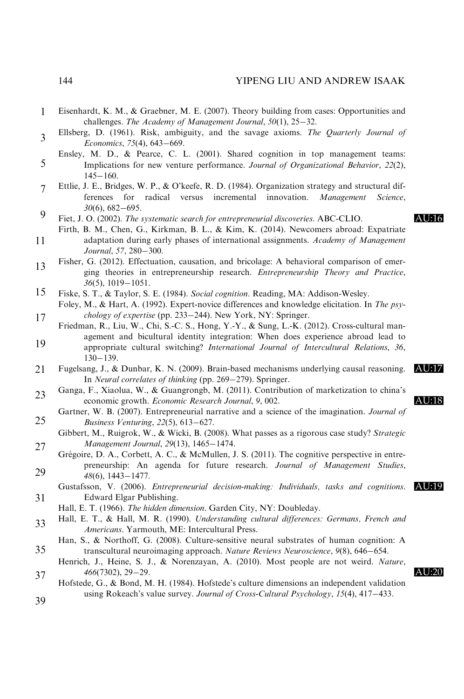- Eisenhardt, K. M., & Graebner, M. E. (2007). Theory building from cases: Opportunities and challenges. The Academy of Management Journal,  $50(1)$ ,  $25-32$ . 1
- Ellsberg, D. (1961). Risk, ambiguity, and the savage axioms. The Quarterly Journal of Economics, 75(4), 643-669. 3
- Ensley, M. D., & Pearce, C. L. (2001). Shared cognition in top management teams: Implications for new venture performance. Journal of Organizational Behavior, 22(2),  $145 - 160.$ 5
- Ettlie, J. E., Bridges, W. P., & O'keefe, R. D. (1984). Organization strategy and structural differences for radical versus incremental innovation. Management Science,  $30(6)$ , 682-695. 7
- Fiet, J. O. (2002). The systematic search for entrepreneurial discoveries. ABC-CLIO. **AU:16** Firth, B. M., Chen, G., Kirkman, B. L., & Kim, K. (2014). Newcomers abroad: Expatriate 9
- adaptation during early phases of international assignments. Academy of Management Journal, 57, 280-300. 11
- Fisher, G. (2012). Effectuation, causation, and bricolage: A behavioral comparison of emerging theories in entrepreneurship research. Entrepreneurship Theory and Practice,  $36(5)$ , 1019-1051. 13
- Fiske, S. T., & Taylor, S. E. (1984). Social cognition. Reading, MA: Addison-Wesley. Foley, M., & Hart, A. (1992). Expert-novice differences and knowledge elicitation. In The psy-15
- chology of expertise (pp. 233-244). New York, NY: Springer. Friedman, R., Liu, W., Chi, S.-C. S., Hong, Y.-Y., & Sung, L.-K. (2012). Cross-cultural management and bicultural identity integration: When does experience abroad lead to appropriate cultural switching? International Journal of Intercultural Relations, 36,  $130 - 139.$ 17 19
- Fugelsang, J., & Dunbar, K. N. (2009). Brain-based mechanisms underlying causal reasoning. **AU:17** In Neural correlates of thinking (pp. 269–279). Springer. 21
- Ganga, F., Xiaolua, W., & Guangrongb, M. (2011). Contribution of marketization to china's economic growth. *Economic Research Journal*, 9, 002. AU:18 23
- Gartner, W. B. (2007). Entrepreneurial narrative and a science of the imagination. Journal of Business Venturing,  $22(5)$ ,  $613-627$ . 25
- Gibbert, M., Ruigrok, W., & Wicki, B. (2008). What passes as a rigorous case study? Strategic Management Journal, 29(13), 1465-1474. 27
- Grégoire, D. A., Corbett, A. C., & McMullen, J. S. (2011). The cognitive perspective in entrepreneurship: An agenda for future research. Journal of Management Studies,  $48(6)$ , 1443-1477. 29
- Gustafsson, V. (2006). *Entrepreneurial decision-making: Individuals, tasks and cognitions.* AU:19 Edward Elgar Publishing. 31
- Hall, E. T. (1966). The hidden dimension. Garden City, NY: Doubleday.
- Hall, E. T., & Hall, M. R. (1990). Understanding cultural differences: Germans, French and Americans. Yarmouth, ME: Intercultural Press. 33
- Han, S., & Northoff, G. (2008). Culture-sensitive neural substrates of human cognition: A transcultural neuroimaging approach. Nature Reviews Neuroscience, 9(8), 646–654. 35
- Henrich, J., Heine, S. J., & Norenzayan, A. (2010). Most people are not weird. Nature, 466(7302), 29–29.<br>Hofstede, G., & Bond, M. H. (1984). Hofstede's culture dimensions an independent validation 37
- using Rokeach's value survey. Journal of Cross-Cultural Psychology,  $15(4)$ ,  $417-433$ . 39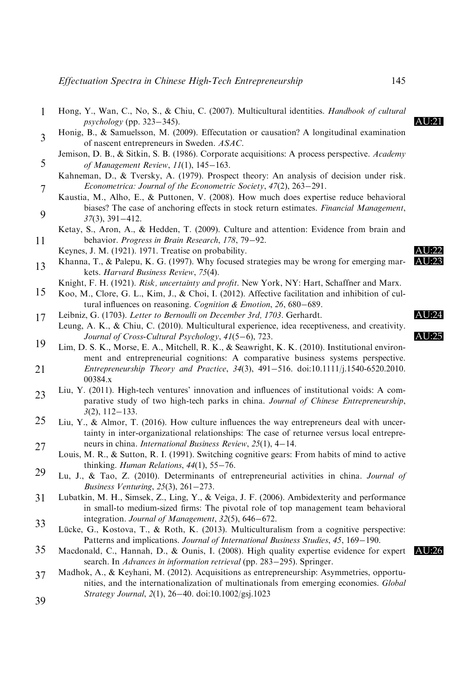- Hong, Y., Wan, C., No, S., & Chiu, C. (2007). Multicultural identities. Handbook of cultural 1
- psychology (pp. 323–345).<br>Honig, B., & Samuelsson, M. (2009). Effecutation or causation? A longitudinal examination of nascent entrepreneurs in Sweden. ASAC. 3
- Jemison, D. B., & Sitkin, S. B. (1986). Corporate acquisitions: A process perspective. Academy of Management Review,  $11(1)$ ,  $145-163$ . 5
- Kahneman, D., & Tversky, A. (1979). Prospect theory: An analysis of decision under risk. Econometrica: Journal of the Econometric Society,  $47(2)$ ,  $263-291$ . 7
- Kaustia, M., Alho, E., & Puttonen, V. (2008). How much does expertise reduce behavioral biases? The case of anchoring effects in stock return estimates. Financial Management,  $37(3)$ ,  $391-412$ . 9
- Ketay, S., Aron, A., & Hedden, T. (2009). Culture and attention: Evidence from brain and behavior. Progress in Brain Research, 178, 79-92. 11

- Keynes, J. M. (1921). 1971. Treatise on probability.<br>Khanna. T., & Palenu. K. G. (1997). Why focused strategies may be wrong for emerging mar-**AU:23** Khanna, T., & Palepu, K. G. (1997). Why focused strategies may be wrong for emerging markets. Harvard Business Review, 75(4). 13
- Knight, F. H. (1921). Risk, uncertainty and profit. New York, NY: Hart, Schaffner and Marx.
- Koo, M., Clore, G. L., Kim, J., & Choi, I. (2012). Affective facilitation and inhibition of cultural influences on reasoning. Cognition & Emotion, 26,  $680-689$ . 15
- Leibniz, G. (1703). Letter to Bernoulli on December 3rd, 1703. Gerhardt. AU:24 17
- Leung, A. K., & Chiu, C. (2010). Multicultural experience, idea receptiveness, and creativity. Journal of Cross-Cultural Psychology,  $41(5-6)$ , 723. **AU:25** 19
- Lim, D. S. K., Morse, E. A., Mitchell, R. K., & Seawright, K. K. (2010). Institutional environment and entrepreneurial cognitions: A comparative business systems perspective. Entrepreneurship Theory and Practice,  $34(3)$ ,  $491-516$ . doi:10.1111/j.1540-6520.2010. 00384.x 21
- Liu, Y. (2011). High-tech ventures' innovation and influences of institutional voids: A comparative study of two high-tech parks in china. Journal of Chinese Entrepreneurship,  $3(2)$ ,  $112-133$ . 23
- Liu, Y., & Almor, T. (2016). How culture influences the way entrepreneurs deal with uncertainty in inter-organizational relationships: The case of returnee versus local entrepreneurs in china. *International Business Review*, 25(1), 4-14. 25 27
- Louis, M. R., & Sutton, R. I. (1991). Switching cognitive gears: From habits of mind to active thinking. Human Relations,  $44(1)$ ,  $55-76$ .
- Lu, J., & Tao, Z. (2010). Determinants of entrepreneurial activities in china. Journal of Business Venturing,  $25(3)$ ,  $261-273$ . 29
- Lubatkin, M. H., Simsek, Z., Ling, Y., & Veiga, J. F. (2006). Ambidexterity and performance in small-to medium-sized firms: The pivotal role of top management team behavioral integration. Journal of Management, 32(5), 646-672. 31 33
- Lücke, G., Kostova, T., & Roth, K. (2013). Multiculturalism from a cognitive perspective: Patterns and implications. Journal of International Business Studies, 45, 169–190.
- Macdonald, C., Hannah, D., & Ounis, I. (2008). High quality expertise evidence for expert **AU:26** search. In Advances in information retrieval (pp. 283-295). Springer. 35
- Madhok, A., & Keyhani, M. (2012). Acquisitions as entrepreneurship: Asymmetries, opportunities, and the internationalization of multinationals from emerging economies. Global Strategy Journal, 2(1), 26-40. doi:10.1002/gsj.1023 37 39

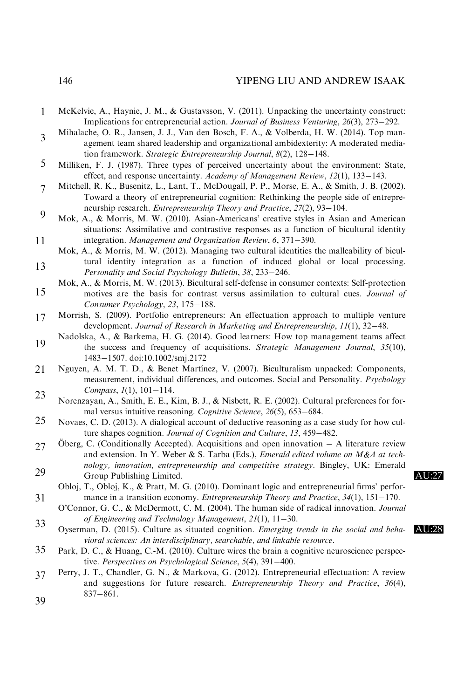- McKelvie, A., Haynie, J. M., & Gustavsson, V. (2011). Unpacking the uncertainty construct: Implications for entrepreneurial action. Journal of Business Venturing,  $26(3)$ ,  $273-292$ . 1
- Mihalache, O. R., Jansen, J. J., Van den Bosch, F. A., & Volberda, H. W. (2014). Top management team shared leadership and organizational ambidexterity: A moderated mediation framework. Strategic Entrepreneurship Journal, 8(2), 128-148. 3
- Milliken, F. J. (1987). Three types of perceived uncertainty about the environment: State, effect, and response uncertainty. Academy of Management Review,  $12(1)$ ,  $133-143$ . 5
- Mitchell, R. K., Busenitz, L., Lant, T., McDougall, P. P., Morse, E. A., & Smith, J. B. (2002). Toward a theory of entrepreneurial cognition: Rethinking the people side of entrepreneurship research. *Entrepreneurship Theory and Practice*, 27(2), 93-104. 7
- Mok, A., & Morris, M. W. (2010). Asian-Americans' creative styles in Asian and American situations: Assimilative and contrastive responses as a function of bicultural identity integration. Management and Organization Review,  $6, 371-390$ . 9 11
- Mok, A., & Morris, M. W. (2012). Managing two cultural identities the malleability of bicultural identity integration as a function of induced global or local processing. Personality and Social Psychology Bulletin, 38, 233-246. 13
- Mok, A., & Morris, M. W. (2013). Bicultural self-defense in consumer contexts: Self-protection motives are the basis for contrast versus assimilation to cultural cues. Journal of Consumer Psychology, 23, 175-188. 15
- Morrish, S. (2009). Portfolio entrepreneurs: An effectuation approach to multiple venture development. Journal of Research in Marketing and Entrepreneurship, 11(1), 32–48. 17
- Nadolska, A., & Barkema, H. G. (2014). Good learners: How top management teams affect the success and frequency of acquisitions. Strategic Management Journal, 35(10), 1483-1507. doi:10.1002/smj.2172 19
- Nguyen, A. M. T. D., & Benet Martínez, V. (2007). Biculturalism unpacked: Components, measurement, individual differences, and outcomes. Social and Personality. *Psychology* Compass,  $1(1)$ ,  $101-114$ . 21 23
- Norenzayan, A., Smith, E. E., Kim, B. J., & Nisbett, R. E. (2002). Cultural preferences for formal versus intuitive reasoning. Cognitive Science, 26(5), 653-684.
- Novaes, C. D. (2013). A dialogical account of deductive reasoning as a case study for how culture shapes cognition. Journal of Cognition and Culture, 13, 459–482. 25
- Oberg, C. (Conditionally Accepted). Acquisitions and open innovation  $-$  A literature review and extension. In Y. Weber & S. Tarba (Eds.), *Emerald edited volume on M&A at tech*nology, innovation, entrepreneurship and competitive strategy. Bingley, UK: Emerald Group Publishing Limited. AU:27 27 29
- Obloj, T., Obloj, K., & Pratt, M. G. (2010). Dominant logic and entrepreneurial firms' performance in a transition economy. Entrepreneurship Theory and Practice,  $34(1)$ ,  $151-170$ . 31
- O'Connor, G. C., & McDermott, C. M. (2004). The human side of radical innovation. Journal of Engineering and Technology Management,  $2I(1)$ ,  $11-30$ . 33
- Oyserman, D. (2015). Culture as situated cognition. Emerging trends in the social and beha-  $\triangle$  0.28 vioral sciences: An interdisciplinary, searchable, and linkable resource.
- Park, D. C., & Huang, C.-M. (2010). Culture wires the brain a cognitive neuroscience perspective. Perspectives on Psychological Science,  $5(4)$ ,  $391-400$ . 35
- Perry, J. T., Chandler, G. N., & Markova, G. (2012). Entrepreneurial effectuation: A review and suggestions for future research. Entrepreneurship Theory and Practice, 36(4), 837-861. 37 39

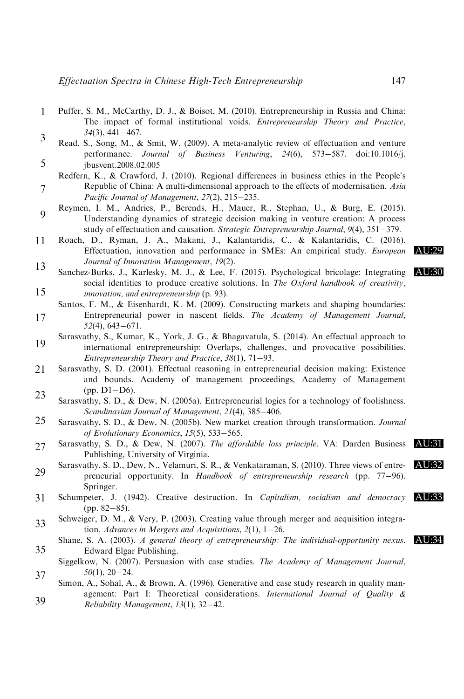- Puffer, S. M., McCarthy, D. J., & Boisot, M. (2010). Entrepreneurship in Russia and China: The impact of formal institutional voids. Entrepreneurship Theory and Practice,  $34(3)$ ,  $441-467$ . 1 3
- Read, S., Song, M., & Smit, W. (2009). A meta-analytic review of effectuation and venture performance. Journal of Business Venturing,  $24(6)$ ,  $573-587$ . doi:10.1016/j. jbusvent.2008.02.005 5
- Redfern, K., & Crawford, J. (2010). Regional differences in business ethics in the People's Republic of China: A multi-dimensional approach to the effects of modernisation. Asia Pacific Journal of Management, 27(2), 215-235. 7
- Reymen, I. M., Andries, P., Berends, H., Mauer, R., Stephan, U., & Burg, E. (2015). Understanding dynamics of strategic decision making in venture creation: A process study of effectuation and causation. Strategic Entrepreneurship Journal, 9(4), 351–379. 9
- Roach, D., Ryman, J. A., Makani, J., Kalantaridis, C., & Kalantaridis, C. (2016). Effectuation, innovation and performance in SMEs: An empirical study. European AU:29 Journal of Innovation Management, 19(2). 11 13
- Sanchez-Burks, J., Karlesky, M. J., & Lee, F. (2015). Psychological bricolage: Integrating AU:30 social identities to produce creative solutions. In *The Oxford handbook of creativity*, innovation, and entrepreneurship (p. 93). 15
- Santos, F. M., & Eisenhardt, K. M. (2009). Constructing markets and shaping boundaries: Entrepreneurial power in nascent fields. The Academy of Management Journal,  $52(4)$ ,  $643-671$ . 17
- Sarasvathy, S., Kumar, K., York, J. G., & Bhagavatula, S. (2014). An effectual approach to international entrepreneurship: Overlaps, challenges, and provocative possibilities. Entrepreneurship Theory and Practice,  $38(1)$ ,  $71-93$ . 19
- Sarasvathy, S. D. (2001). Effectual reasoning in entrepreneurial decision making: Existence and bounds. Academy of management proceedings, Academy of Management  $(pp. D1-D6).$ 21 23
- Sarasvathy, S. D., & Dew, N. (2005a). Entrepreneurial logics for a technology of foolishness. Scandinavian Journal of Management, 21(4), 385-406.
- Sarasvathy, S. D., & Dew, N. (2005b). New market creation through transformation. Journal of Evolutionary Economics,  $15(5)$ ,  $533-565$ . 25
- Sarasvathy, S. D., & Dew, N. (2007). The affordable loss principle. VA: Darden Business **AU:31** Publishing, University of Virginia. 27
- Sarasvathy, S. D., Dew, N., Velamuri, S. R., & Venkataraman, S. (2010). Three views of entre- AU:32 preneurial opportunity. In Handbook of entrepreneurship research (pp. 77–96). Springer. 29
- Schumpeter, J. (1942). Creative destruction. In Capitalism, socialism and democracy **AU:33**  $(pp. 82-85).$ 31
- Schweiger, D. M., & Very, P. (2003). Creating value through merger and acquisition integration. Advances in Mergers and Acquisitions,  $2(1)$ ,  $1-26$ . 33
- Shane, S. A. (2003). A general theory of entrepreneurship: The individual-opportunity nexus. **AU:34** Edward Elgar Publishing. 35
- Siggelkow, N. (2007). Persuasion with case studies. The Academy of Management Journal,  $50(1)$ ,  $20-24$ . 37
- Simon, A., Sohal, A., & Brown, A. (1996). Generative and case study research in quality management: Part I: Theoretical considerations. International Journal of Quality & Reliability Management,  $13(1)$ ,  $32-42$ . 39